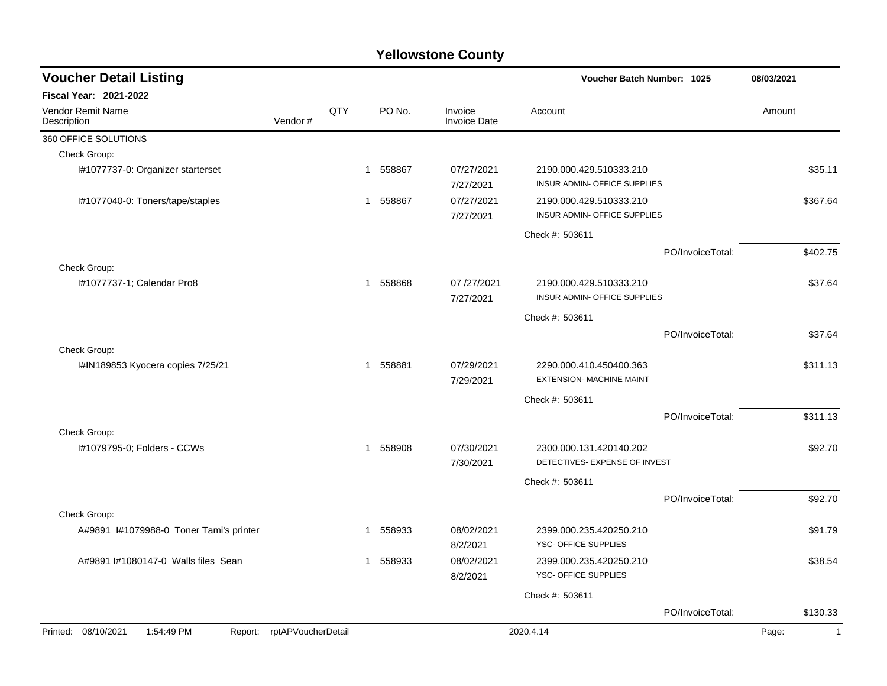| Fiscal Year: 2021-2022<br>QTY<br>PO No.<br>Vendor Remit Name<br>Invoice<br>Account<br>Amount<br>Description<br>Vendor#<br><b>Invoice Date</b><br>360 OFFICE SOLUTIONS<br>Check Group:<br>07/27/2021<br>I#1077737-0: Organizer starterset<br>558867<br>2190.000.429.510333.210<br>$\mathbf{1}$<br>INSUR ADMIN- OFFICE SUPPLIES<br>7/27/2021<br>I#1077040-0: Toners/tape/staples<br>558867<br>07/27/2021<br>2190.000.429.510333.210<br>1<br>INSUR ADMIN- OFFICE SUPPLIES<br>7/27/2021<br>Check #: 503611<br>PO/InvoiceTotal:<br>Check Group:<br>558868<br>2190.000.429.510333.210<br>I#1077737-1; Calendar Pro8<br>07/27/2021<br>$\mathbf{1}$<br>INSUR ADMIN- OFFICE SUPPLIES<br>7/27/2021<br>Check #: 503611<br>PO/InvoiceTotal:<br>Check Group:<br>I#IN189853 Kyocera copies 7/25/21<br>558881<br>07/29/2021<br>2290.000.410.450400.363<br>$\mathbf{1}$<br><b>EXTENSION- MACHINE MAINT</b><br>7/29/2021<br>Check #: 503611<br>PO/InvoiceTotal:<br>Check Group:<br>I#1079795-0; Folders - CCWs<br>558908<br>07/30/2021<br>$\mathbf{1}$<br>2300.000.131.420140.202<br>DETECTIVES- EXPENSE OF INVEST<br>7/30/2021<br>Check #: 503611<br>PO/InvoiceTotal:<br>Check Group:<br>A#9891 I#1079988-0 Toner Tami's printer<br>08/02/2021<br>558933<br>2399.000.235.420250.210<br>-1<br>YSC- OFFICE SUPPLIES<br>8/2/2021<br>A#9891 I#1080147-0 Walls files Sean<br>558933<br>08/02/2021<br>2399.000.235.420250.210<br>YSC- OFFICE SUPPLIES<br>8/2/2021 | <b>Voucher Detail Listing</b> |  |  | Voucher Batch Number: 1025 | 08/03/2021     |
|---------------------------------------------------------------------------------------------------------------------------------------------------------------------------------------------------------------------------------------------------------------------------------------------------------------------------------------------------------------------------------------------------------------------------------------------------------------------------------------------------------------------------------------------------------------------------------------------------------------------------------------------------------------------------------------------------------------------------------------------------------------------------------------------------------------------------------------------------------------------------------------------------------------------------------------------------------------------------------------------------------------------------------------------------------------------------------------------------------------------------------------------------------------------------------------------------------------------------------------------------------------------------------------------------------------------------------------------------------------------------------------------------------------------------------------------|-------------------------------|--|--|----------------------------|----------------|
|                                                                                                                                                                                                                                                                                                                                                                                                                                                                                                                                                                                                                                                                                                                                                                                                                                                                                                                                                                                                                                                                                                                                                                                                                                                                                                                                                                                                                                             |                               |  |  |                            |                |
|                                                                                                                                                                                                                                                                                                                                                                                                                                                                                                                                                                                                                                                                                                                                                                                                                                                                                                                                                                                                                                                                                                                                                                                                                                                                                                                                                                                                                                             |                               |  |  |                            |                |
|                                                                                                                                                                                                                                                                                                                                                                                                                                                                                                                                                                                                                                                                                                                                                                                                                                                                                                                                                                                                                                                                                                                                                                                                                                                                                                                                                                                                                                             |                               |  |  |                            |                |
|                                                                                                                                                                                                                                                                                                                                                                                                                                                                                                                                                                                                                                                                                                                                                                                                                                                                                                                                                                                                                                                                                                                                                                                                                                                                                                                                                                                                                                             |                               |  |  |                            |                |
|                                                                                                                                                                                                                                                                                                                                                                                                                                                                                                                                                                                                                                                                                                                                                                                                                                                                                                                                                                                                                                                                                                                                                                                                                                                                                                                                                                                                                                             |                               |  |  |                            | \$35.11        |
|                                                                                                                                                                                                                                                                                                                                                                                                                                                                                                                                                                                                                                                                                                                                                                                                                                                                                                                                                                                                                                                                                                                                                                                                                                                                                                                                                                                                                                             |                               |  |  |                            | \$367.64       |
|                                                                                                                                                                                                                                                                                                                                                                                                                                                                                                                                                                                                                                                                                                                                                                                                                                                                                                                                                                                                                                                                                                                                                                                                                                                                                                                                                                                                                                             |                               |  |  |                            |                |
|                                                                                                                                                                                                                                                                                                                                                                                                                                                                                                                                                                                                                                                                                                                                                                                                                                                                                                                                                                                                                                                                                                                                                                                                                                                                                                                                                                                                                                             |                               |  |  |                            | \$402.75       |
|                                                                                                                                                                                                                                                                                                                                                                                                                                                                                                                                                                                                                                                                                                                                                                                                                                                                                                                                                                                                                                                                                                                                                                                                                                                                                                                                                                                                                                             |                               |  |  |                            |                |
|                                                                                                                                                                                                                                                                                                                                                                                                                                                                                                                                                                                                                                                                                                                                                                                                                                                                                                                                                                                                                                                                                                                                                                                                                                                                                                                                                                                                                                             |                               |  |  | \$37.64                    |                |
|                                                                                                                                                                                                                                                                                                                                                                                                                                                                                                                                                                                                                                                                                                                                                                                                                                                                                                                                                                                                                                                                                                                                                                                                                                                                                                                                                                                                                                             |                               |  |  |                            |                |
|                                                                                                                                                                                                                                                                                                                                                                                                                                                                                                                                                                                                                                                                                                                                                                                                                                                                                                                                                                                                                                                                                                                                                                                                                                                                                                                                                                                                                                             |                               |  |  |                            | \$37.64        |
|                                                                                                                                                                                                                                                                                                                                                                                                                                                                                                                                                                                                                                                                                                                                                                                                                                                                                                                                                                                                                                                                                                                                                                                                                                                                                                                                                                                                                                             |                               |  |  |                            |                |
|                                                                                                                                                                                                                                                                                                                                                                                                                                                                                                                                                                                                                                                                                                                                                                                                                                                                                                                                                                                                                                                                                                                                                                                                                                                                                                                                                                                                                                             |                               |  |  | \$311.13                   |                |
|                                                                                                                                                                                                                                                                                                                                                                                                                                                                                                                                                                                                                                                                                                                                                                                                                                                                                                                                                                                                                                                                                                                                                                                                                                                                                                                                                                                                                                             |                               |  |  |                            |                |
|                                                                                                                                                                                                                                                                                                                                                                                                                                                                                                                                                                                                                                                                                                                                                                                                                                                                                                                                                                                                                                                                                                                                                                                                                                                                                                                                                                                                                                             |                               |  |  |                            | \$311.13       |
|                                                                                                                                                                                                                                                                                                                                                                                                                                                                                                                                                                                                                                                                                                                                                                                                                                                                                                                                                                                                                                                                                                                                                                                                                                                                                                                                                                                                                                             |                               |  |  |                            |                |
|                                                                                                                                                                                                                                                                                                                                                                                                                                                                                                                                                                                                                                                                                                                                                                                                                                                                                                                                                                                                                                                                                                                                                                                                                                                                                                                                                                                                                                             |                               |  |  |                            | \$92.70        |
|                                                                                                                                                                                                                                                                                                                                                                                                                                                                                                                                                                                                                                                                                                                                                                                                                                                                                                                                                                                                                                                                                                                                                                                                                                                                                                                                                                                                                                             |                               |  |  |                            |                |
|                                                                                                                                                                                                                                                                                                                                                                                                                                                                                                                                                                                                                                                                                                                                                                                                                                                                                                                                                                                                                                                                                                                                                                                                                                                                                                                                                                                                                                             |                               |  |  |                            | \$92.70        |
|                                                                                                                                                                                                                                                                                                                                                                                                                                                                                                                                                                                                                                                                                                                                                                                                                                                                                                                                                                                                                                                                                                                                                                                                                                                                                                                                                                                                                                             |                               |  |  |                            |                |
|                                                                                                                                                                                                                                                                                                                                                                                                                                                                                                                                                                                                                                                                                                                                                                                                                                                                                                                                                                                                                                                                                                                                                                                                                                                                                                                                                                                                                                             |                               |  |  |                            | \$91.79        |
|                                                                                                                                                                                                                                                                                                                                                                                                                                                                                                                                                                                                                                                                                                                                                                                                                                                                                                                                                                                                                                                                                                                                                                                                                                                                                                                                                                                                                                             |                               |  |  |                            | \$38.54        |
|                                                                                                                                                                                                                                                                                                                                                                                                                                                                                                                                                                                                                                                                                                                                                                                                                                                                                                                                                                                                                                                                                                                                                                                                                                                                                                                                                                                                                                             |                               |  |  | Check #: 503611            |                |
| PO/InvoiceTotal:                                                                                                                                                                                                                                                                                                                                                                                                                                                                                                                                                                                                                                                                                                                                                                                                                                                                                                                                                                                                                                                                                                                                                                                                                                                                                                                                                                                                                            |                               |  |  |                            | \$130.33       |
| Printed: 08/10/2021<br>1:54:49 PM<br>Report: rptAPVoucherDetail<br>2020.4.14<br>Page:                                                                                                                                                                                                                                                                                                                                                                                                                                                                                                                                                                                                                                                                                                                                                                                                                                                                                                                                                                                                                                                                                                                                                                                                                                                                                                                                                       |                               |  |  |                            | $\overline{1}$ |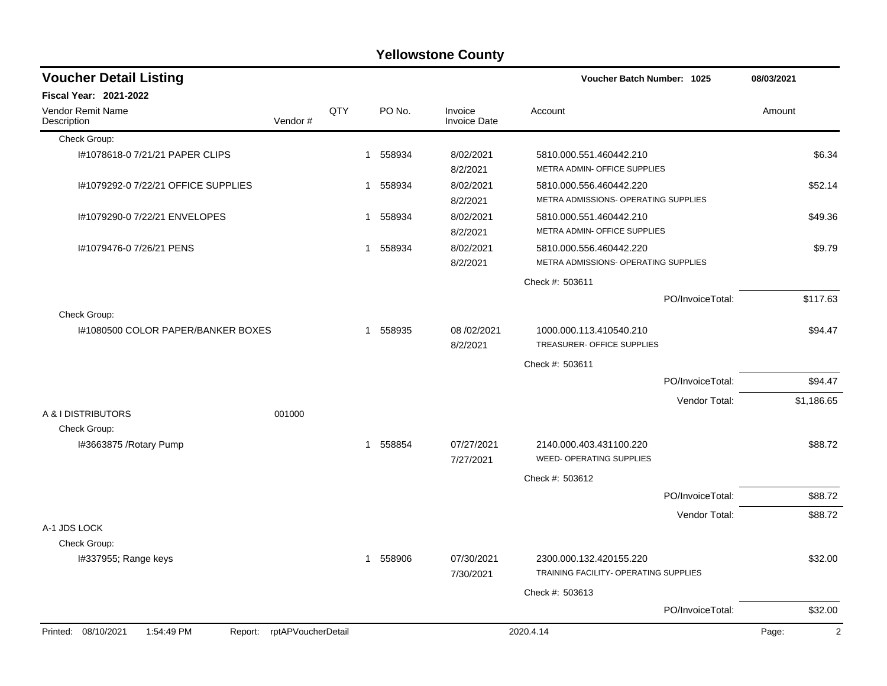| <b>Yellowstone County</b> |  |
|---------------------------|--|
|---------------------------|--|

| <b>Voucher Detail Listing</b>                                   |         |     |              |          |                                | <b>Voucher Batch Number: 1025</b>                                |                  | 08/03/2021 |
|-----------------------------------------------------------------|---------|-----|--------------|----------|--------------------------------|------------------------------------------------------------------|------------------|------------|
| <b>Fiscal Year: 2021-2022</b>                                   |         |     |              |          |                                |                                                                  |                  |            |
| <b>Vendor Remit Name</b><br>Description                         | Vendor# | QTY |              | PO No.   | Invoice<br><b>Invoice Date</b> | Account                                                          |                  | Amount     |
| Check Group:                                                    |         |     |              |          |                                |                                                                  |                  |            |
| I#1078618-0 7/21/21 PAPER CLIPS                                 |         |     | 1            | 558934   | 8/02/2021<br>8/2/2021          | 5810.000.551.460442.210<br>METRA ADMIN- OFFICE SUPPLIES          |                  | \$6.34     |
| I#1079292-0 7/22/21 OFFICE SUPPLIES                             |         |     | -1           | 558934   | 8/02/2021<br>8/2/2021          | 5810.000.556.460442.220<br>METRA ADMISSIONS- OPERATING SUPPLIES  |                  | \$52.14    |
| I#1079290-0 7/22/21 ENVELOPES                                   |         |     | $\mathbf{1}$ | 558934   | 8/02/2021<br>8/2/2021          | 5810.000.551.460442.210<br>METRA ADMIN- OFFICE SUPPLIES          |                  | \$49.36    |
| I#1079476-0 7/26/21 PENS                                        |         |     | 1            | 558934   | 8/02/2021<br>8/2/2021          | 5810.000.556.460442.220<br>METRA ADMISSIONS- OPERATING SUPPLIES  |                  | \$9.79     |
|                                                                 |         |     |              |          |                                | Check #: 503611                                                  |                  |            |
|                                                                 |         |     |              |          |                                |                                                                  | PO/InvoiceTotal: | \$117.63   |
| Check Group:                                                    |         |     |              |          |                                |                                                                  |                  |            |
| 1#1080500 COLOR PAPER/BANKER BOXES                              |         |     |              | 1 558935 | 08 /02/2021<br>8/2/2021        | 1000.000.113.410540.210<br>TREASURER- OFFICE SUPPLIES            |                  | \$94.47    |
|                                                                 |         |     |              |          |                                | Check #: 503611                                                  |                  |            |
|                                                                 |         |     |              |          |                                |                                                                  | PO/InvoiceTotal: | \$94.47    |
|                                                                 |         |     |              |          |                                |                                                                  | Vendor Total:    | \$1,186.65 |
| A & I DISTRIBUTORS<br>Check Group:                              | 001000  |     |              |          |                                |                                                                  |                  |            |
| I#3663875 / Rotary Pump                                         |         |     | $\mathbf{1}$ | 558854   | 07/27/2021<br>7/27/2021        | 2140.000.403.431100.220<br><b>WEED- OPERATING SUPPLIES</b>       |                  | \$88.72    |
|                                                                 |         |     |              |          |                                | Check #: 503612                                                  |                  |            |
|                                                                 |         |     |              |          |                                |                                                                  | PO/InvoiceTotal: | \$88.72    |
|                                                                 |         |     |              |          |                                |                                                                  | Vendor Total:    | \$88.72    |
| A-1 JDS LOCK                                                    |         |     |              |          |                                |                                                                  |                  |            |
| Check Group:                                                    |         |     |              |          |                                |                                                                  |                  |            |
| I#337955; Range keys                                            |         |     | -1           | 558906   | 07/30/2021<br>7/30/2021        | 2300.000.132.420155.220<br>TRAINING FACILITY- OPERATING SUPPLIES |                  | \$32.00    |
|                                                                 |         |     |              |          |                                | Check #: 503613                                                  |                  |            |
|                                                                 |         |     |              |          |                                |                                                                  | PO/InvoiceTotal: | \$32.00    |
| Report: rptAPVoucherDetail<br>Printed: 08/10/2021<br>1:54:49 PM |         |     |              |          |                                | 2020.4.14                                                        |                  | 2<br>Page: |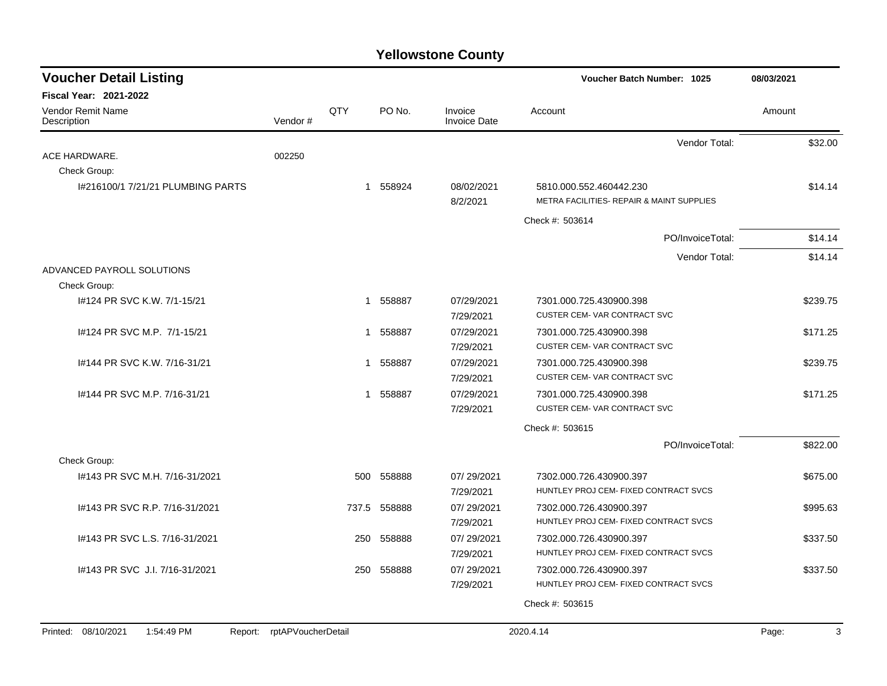| <b>Voucher Detail Listing</b>                |                    |          |                                | Voucher Batch Number: 1025                                     | 08/03/2021 |
|----------------------------------------------|--------------------|----------|--------------------------------|----------------------------------------------------------------|------------|
| Fiscal Year: 2021-2022                       |                    |          |                                |                                                                |            |
| Vendor Remit Name<br>Vendor#<br>Description  | QTY                | PO No.   | Invoice<br><b>Invoice Date</b> | Account                                                        | Amount     |
|                                              |                    |          |                                | Vendor Total:                                                  | \$32.00    |
| ACE HARDWARE.<br>002250                      |                    |          |                                |                                                                |            |
| Check Group:                                 |                    |          |                                |                                                                |            |
| I#216100/1 7/21/21 PLUMBING PARTS            |                    | 1 558924 | 08/02/2021                     | 5810.000.552.460442.230                                        | \$14.14    |
|                                              |                    |          | 8/2/2021                       | METRA FACILITIES- REPAIR & MAINT SUPPLIES                      |            |
|                                              |                    |          |                                | Check #: 503614                                                |            |
|                                              |                    |          |                                | PO/InvoiceTotal:                                               | \$14.14    |
|                                              |                    |          |                                | Vendor Total:                                                  | \$14.14    |
| ADVANCED PAYROLL SOLUTIONS                   |                    |          |                                |                                                                |            |
| Check Group:                                 |                    |          | 07/29/2021                     |                                                                |            |
| I#124 PR SVC K.W. 7/1-15/21                  | 1                  | 558887   | 7/29/2021                      | 7301.000.725.430900.398<br><b>CUSTER CEM- VAR CONTRACT SVC</b> | \$239.75   |
| I#124 PR SVC M.P. 7/1-15/21                  | 1                  | 558887   | 07/29/2021                     | 7301.000.725.430900.398                                        | \$171.25   |
|                                              |                    |          | 7/29/2021                      | <b>CUSTER CEM- VAR CONTRACT SVC</b>                            |            |
| 1#144 PR SVC K.W. 7/16-31/21                 | 1                  | 558887   | 07/29/2021                     | 7301.000.725.430900.398                                        | \$239.75   |
|                                              |                    |          | 7/29/2021                      | <b>CUSTER CEM- VAR CONTRACT SVC</b>                            |            |
| I#144 PR SVC M.P. 7/16-31/21                 | 1                  | 558887   | 07/29/2021                     | 7301.000.725.430900.398                                        | \$171.25   |
|                                              |                    |          | 7/29/2021                      | <b>CUSTER CEM-VAR CONTRACT SVC</b>                             |            |
|                                              |                    |          |                                | Check #: 503615                                                |            |
|                                              |                    |          |                                | PO/InvoiceTotal:                                               | \$822.00   |
| Check Group:                                 |                    |          |                                |                                                                |            |
| I#143 PR SVC M.H. 7/16-31/2021               | 500                | 558888   | 07/29/2021                     | 7302.000.726.430900.397                                        | \$675.00   |
|                                              |                    |          | 7/29/2021                      | HUNTLEY PROJ CEM- FIXED CONTRACT SVCS                          |            |
| 1#143 PR SVC R.P. 7/16-31/2021               | 737.5              | 558888   | 07/29/2021                     | 7302.000.726.430900.397                                        | \$995.63   |
|                                              |                    |          | 7/29/2021                      | HUNTLEY PROJ CEM- FIXED CONTRACT SVCS                          |            |
| 1#143 PR SVC L.S. 7/16-31/2021               | 250                | 558888   | 07/29/2021                     | 7302.000.726.430900.397                                        | \$337.50   |
|                                              |                    |          | 7/29/2021                      | HUNTLEY PROJ CEM- FIXED CONTRACT SVCS                          |            |
| 1#143 PR SVC J.I. 7/16-31/2021               | 250                | 558888   | 07/29/2021                     | 7302.000.726.430900.397                                        | \$337.50   |
|                                              |                    |          | 7/29/2021                      | HUNTLEY PROJ CEM- FIXED CONTRACT SVCS                          |            |
|                                              |                    |          |                                | Check #: 503615                                                |            |
| Printed: 08/10/2021<br>1:54:49 PM<br>Report: | rptAPVoucherDetail |          |                                | 2020.4.14                                                      | 3<br>Page: |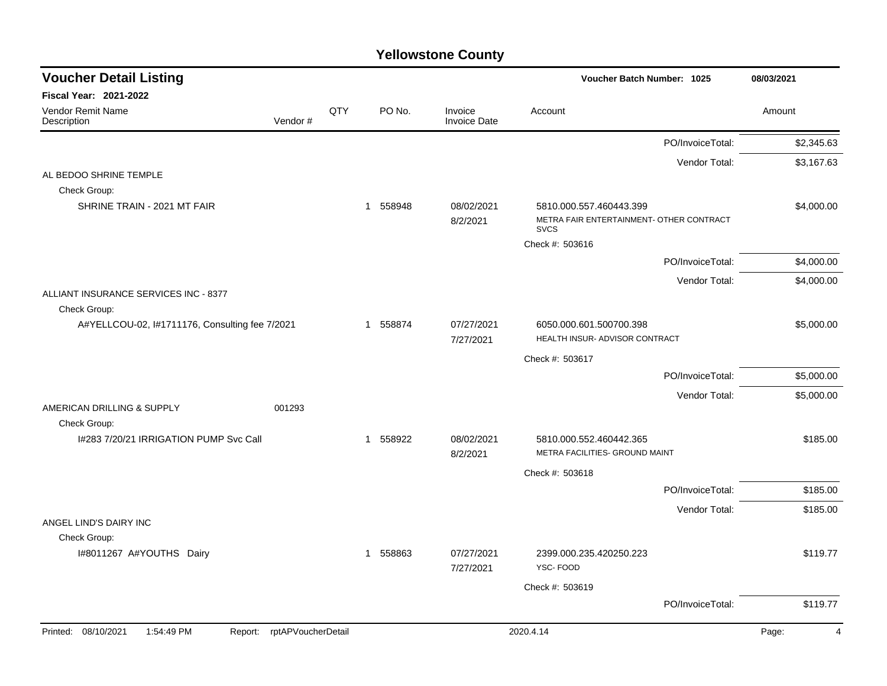| <b>Voucher Detail Listing</b>                                   |         |     |          |                                | <b>Voucher Batch Number: 1025</b>                                                  |                  | 08/03/2021              |
|-----------------------------------------------------------------|---------|-----|----------|--------------------------------|------------------------------------------------------------------------------------|------------------|-------------------------|
| <b>Fiscal Year: 2021-2022</b>                                   |         |     |          |                                |                                                                                    |                  |                         |
| Vendor Remit Name<br>Description                                | Vendor# | QTY | PO No.   | Invoice<br><b>Invoice Date</b> | Account                                                                            |                  | Amount                  |
|                                                                 |         |     |          |                                |                                                                                    | PO/InvoiceTotal: | \$2,345.63              |
|                                                                 |         |     |          |                                |                                                                                    | Vendor Total:    | \$3,167.63              |
| AL BEDOO SHRINE TEMPLE                                          |         |     |          |                                |                                                                                    |                  |                         |
| Check Group:                                                    |         |     |          |                                |                                                                                    |                  |                         |
| SHRINE TRAIN - 2021 MT FAIR                                     |         |     | 1 558948 | 08/02/2021<br>8/2/2021         | 5810.000.557.460443.399<br>METRA FAIR ENTERTAINMENT- OTHER CONTRACT<br><b>SVCS</b> |                  | \$4,000.00              |
|                                                                 |         |     |          |                                | Check #: 503616                                                                    |                  |                         |
|                                                                 |         |     |          |                                |                                                                                    | PO/InvoiceTotal: | \$4,000.00              |
|                                                                 |         |     |          |                                |                                                                                    | Vendor Total:    | \$4,000.00              |
| ALLIANT INSURANCE SERVICES INC - 8377<br>Check Group:           |         |     |          |                                |                                                                                    |                  |                         |
| A#YELLCOU-02, I#1711176, Consulting fee 7/2021                  |         |     | 1 558874 | 07/27/2021<br>7/27/2021        | 6050.000.601.500700.398<br>HEALTH INSUR- ADVISOR CONTRACT                          |                  | \$5,000.00              |
|                                                                 |         |     |          |                                |                                                                                    |                  |                         |
|                                                                 |         |     |          |                                | Check #: 503617                                                                    | PO/InvoiceTotal: | \$5,000.00              |
|                                                                 |         |     |          |                                |                                                                                    |                  |                         |
| AMERICAN DRILLING & SUPPLY<br>Check Group:                      | 001293  |     |          |                                |                                                                                    | Vendor Total:    | \$5,000.00              |
| I#283 7/20/21 IRRIGATION PUMP Svc Call                          |         |     | 1 558922 | 08/02/2021                     | 5810.000.552.460442.365                                                            |                  | \$185.00                |
|                                                                 |         |     |          | 8/2/2021                       | METRA FACILITIES- GROUND MAINT                                                     |                  |                         |
|                                                                 |         |     |          |                                | Check #: 503618                                                                    |                  |                         |
|                                                                 |         |     |          |                                |                                                                                    | PO/InvoiceTotal: | \$185.00                |
|                                                                 |         |     |          |                                |                                                                                    | Vendor Total:    | \$185.00                |
| ANGEL LIND'S DAIRY INC<br>Check Group:                          |         |     |          |                                |                                                                                    |                  |                         |
| I#8011267 A#YOUTHS Dairy                                        |         |     | 1 558863 | 07/27/2021<br>7/27/2021        | 2399.000.235.420250.223<br>YSC-FOOD                                                |                  | \$119.77                |
|                                                                 |         |     |          |                                | Check #: 503619                                                                    |                  |                         |
|                                                                 |         |     |          |                                |                                                                                    | PO/InvoiceTotal: | \$119.77                |
| Printed: 08/10/2021<br>Report: rptAPVoucherDetail<br>1:54:49 PM |         |     |          |                                | 2020.4.14                                                                          |                  | Page:<br>$\overline{4}$ |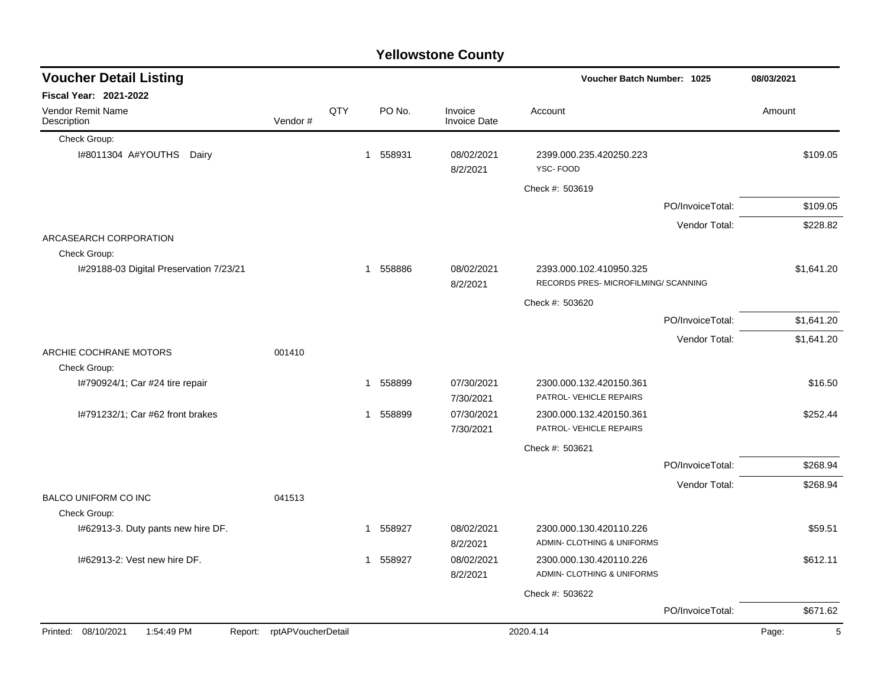#### Check Group: I#8011304 A#YOUTHS Dairy 1 558931 08/02/2021 2399.000.235.420250.223 \$109.05 8/2/2021 YSC- FOOD Check #: 503619 PO/InvoiceTotal: \$109.05 Vendor Total: \$228.82 ARCASEARCH CORPORATION Check Group: I#29188-03 Digital Preservation 7/23/21 1 1 558886 08/02/2021 2393.000.102.410950.325 \$1,641.20 8/2/2021 RECORDS PRES- MICROFILMING/ SCANNING Check #: 503620 PO/InvoiceTotal: \$1,641.20 Vendor Total: \$1,641.20 ARCHIE COCHRANE MOTORS 001410 Check Group: I#790924/1; Car #24 tire repair  $$1\quad 558899\quad 07/30/2021\quad 2300.000.132.420150.361$  \$16.50 7/30/2021 PATROL- VEHICLE REPAIRS I#791232/1; Car #62 front brakes 1 558899 07/30/2021 2300.000.132.420150.361 \$252.44 7/30/2021 PATROL- VEHICLE REPAIRS Check #: 503621 PO/InvoiceTotal: \$268.94 Vendor Total: \$268.94 BALCO UNIFORM CO INC 041513 Check Group: I#62913-3. Duty pants new hire DF.  $\qquad 1 \quad 558927 \quad 08/02/2021 \quad 2300.000.130.420110.226$ \$59.51 8/2/2021 ADMIN- CLOTHING & UNIFORMS I#62913-2: Vest new hire DF. 1 558927 08/02/2021 2300.000.130.420110.226 \$612.11 8/2/2021 ADMIN- CLOTHING & UNIFORMS Check #: 503622 PO/InvoiceTotal: \$671.62 **Voucher Batch Number: Yellowstone County** Vendor Remit Name Description **Voucher Detail Listing Fiscal Year: 2021-2022 1025 08/03/2021** PO No. Invoice Account Amount Amount Amount Amount Vendor # **QTY** Invoice Date Printed: 08/10/2021 1:54:49 PM Report: rptAPVoucherDetail 2020.4.14 2020.4.14 Page: 5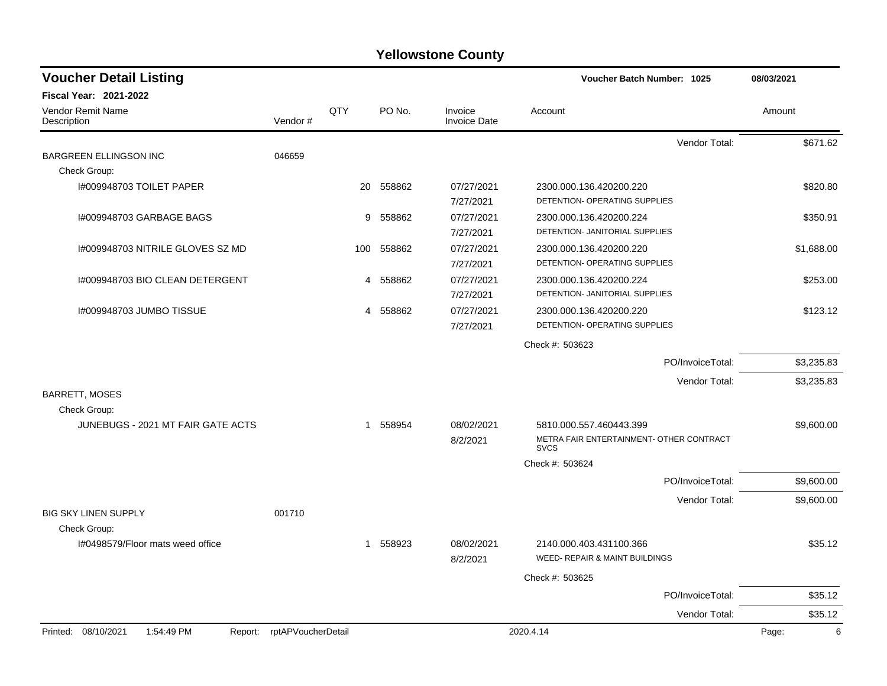| <b>Voucher Detail Listing</b>                |                    |     |           |                                | Voucher Batch Number: 1025                                          | 08/03/2021 |
|----------------------------------------------|--------------------|-----|-----------|--------------------------------|---------------------------------------------------------------------|------------|
| <b>Fiscal Year: 2021-2022</b>                |                    |     |           |                                |                                                                     |            |
| Vendor Remit Name<br>Description             | Vendor#            | QTY | PO No.    | Invoice<br><b>Invoice Date</b> | Account                                                             | Amount     |
|                                              |                    |     |           |                                | Vendor Total:                                                       | \$671.62   |
| <b>BARGREEN ELLINGSON INC</b>                | 046659             |     |           |                                |                                                                     |            |
| Check Group:                                 |                    |     |           |                                |                                                                     |            |
| I#009948703 TOILET PAPER                     |                    |     | 20 558862 | 07/27/2021<br>7/27/2021        | 2300.000.136.420200.220<br>DETENTION- OPERATING SUPPLIES            | \$820.80   |
| I#009948703 GARBAGE BAGS                     |                    |     | 9 558862  | 07/27/2021                     | 2300.000.136.420200.224<br>DETENTION- JANITORIAL SUPPLIES           | \$350.91   |
|                                              |                    |     |           | 7/27/2021                      |                                                                     |            |
| I#009948703 NITRILE GLOVES SZ MD             |                    | 100 | 558862    | 07/27/2021<br>7/27/2021        | 2300.000.136.420200.220<br>DETENTION- OPERATING SUPPLIES            | \$1,688.00 |
| I#009948703 BIO CLEAN DETERGENT              |                    | 4   | 558862    | 07/27/2021                     | 2300.000.136.420200.224                                             | \$253.00   |
|                                              |                    |     |           | 7/27/2021                      | DETENTION- JANITORIAL SUPPLIES                                      |            |
| 1#009948703 JUMBO TISSUE                     |                    |     | 4 558862  | 07/27/2021                     | 2300.000.136.420200.220                                             | \$123.12   |
|                                              |                    |     |           | 7/27/2021                      | DETENTION- OPERATING SUPPLIES                                       |            |
|                                              |                    |     |           |                                | Check #: 503623                                                     |            |
|                                              |                    |     |           |                                | PO/InvoiceTotal:                                                    | \$3,235.83 |
|                                              |                    |     |           |                                | Vendor Total:                                                       | \$3,235.83 |
| <b>BARRETT, MOSES</b>                        |                    |     |           |                                |                                                                     |            |
| Check Group:                                 |                    |     |           |                                |                                                                     |            |
| JUNEBUGS - 2021 MT FAIR GATE ACTS            |                    |     | 1 558954  | 08/02/2021<br>8/2/2021         | 5810.000.557.460443.399<br>METRA FAIR ENTERTAINMENT- OTHER CONTRACT | \$9,600.00 |
|                                              |                    |     |           |                                | <b>SVCS</b>                                                         |            |
|                                              |                    |     |           |                                | Check #: 503624                                                     |            |
|                                              |                    |     |           |                                | PO/InvoiceTotal:                                                    | \$9,600.00 |
| <b>BIG SKY LINEN SUPPLY</b>                  | 001710             |     |           |                                | Vendor Total:                                                       | \$9,600.00 |
| Check Group:                                 |                    |     |           |                                |                                                                     |            |
| I#0498579/Floor mats weed office             |                    |     | 1 558923  | 08/02/2021                     | 2140.000.403.431100.366                                             | \$35.12    |
|                                              |                    |     |           | 8/2/2021                       | WEED- REPAIR & MAINT BUILDINGS                                      |            |
|                                              |                    |     |           |                                | Check #: 503625                                                     |            |
|                                              |                    |     |           |                                | PO/InvoiceTotal:                                                    | \$35.12    |
|                                              |                    |     |           |                                | Vendor Total:                                                       | \$35.12    |
| Printed: 08/10/2021<br>1:54:49 PM<br>Report: | rptAPVoucherDetail |     |           |                                | 2020.4.14                                                           | Page:<br>6 |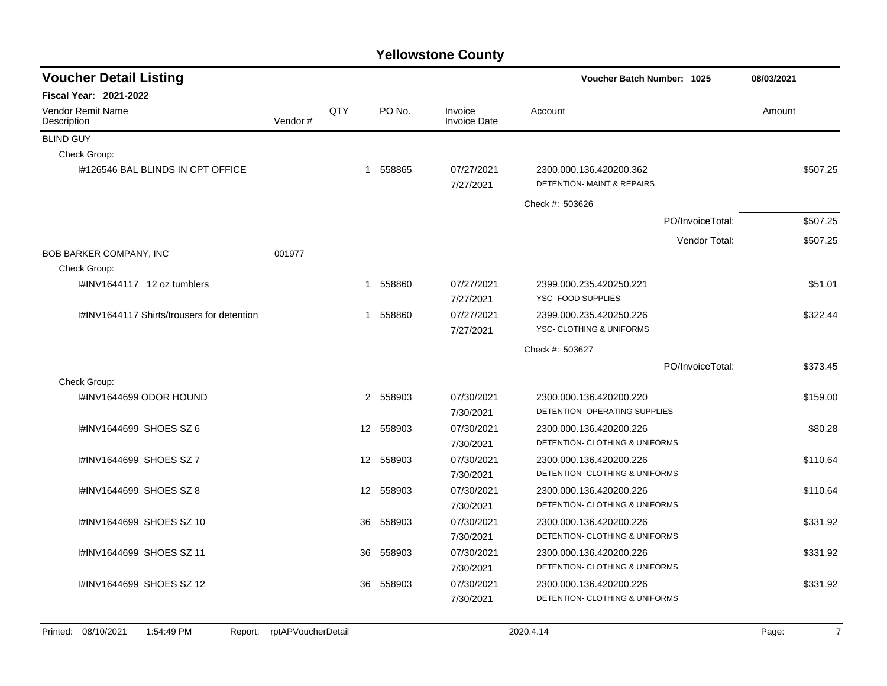| <b>Fiscal Year: 2021-2022</b><br>QTY<br>PO No.<br>Vendor Remit Name<br>Invoice<br>Account<br>Amount<br>Vendor#<br><b>Invoice Date</b><br>Description<br><b>BLIND GUY</b><br>Check Group:<br>1 558865<br>07/27/2021<br>1#126546 BAL BLINDS IN CPT OFFICE<br>2300.000.136.420200.362<br><b>DETENTION- MAINT &amp; REPAIRS</b><br>7/27/2021<br>Check #: 503626<br>PO/InvoiceTotal:<br>Vendor Total:<br><b>BOB BARKER COMPANY, INC</b><br>001977<br>Check Group:<br>I#INV1644117 12 oz tumblers<br>1 558860<br>07/27/2021<br>2399.000.235.420250.221<br>YSC- FOOD SUPPLIES<br>7/27/2021 | \$507.25 |
|-------------------------------------------------------------------------------------------------------------------------------------------------------------------------------------------------------------------------------------------------------------------------------------------------------------------------------------------------------------------------------------------------------------------------------------------------------------------------------------------------------------------------------------------------------------------------------------|----------|
|                                                                                                                                                                                                                                                                                                                                                                                                                                                                                                                                                                                     |          |
|                                                                                                                                                                                                                                                                                                                                                                                                                                                                                                                                                                                     |          |
|                                                                                                                                                                                                                                                                                                                                                                                                                                                                                                                                                                                     |          |
|                                                                                                                                                                                                                                                                                                                                                                                                                                                                                                                                                                                     |          |
|                                                                                                                                                                                                                                                                                                                                                                                                                                                                                                                                                                                     |          |
|                                                                                                                                                                                                                                                                                                                                                                                                                                                                                                                                                                                     |          |
|                                                                                                                                                                                                                                                                                                                                                                                                                                                                                                                                                                                     | \$507.25 |
|                                                                                                                                                                                                                                                                                                                                                                                                                                                                                                                                                                                     | \$507.25 |
|                                                                                                                                                                                                                                                                                                                                                                                                                                                                                                                                                                                     |          |
|                                                                                                                                                                                                                                                                                                                                                                                                                                                                                                                                                                                     |          |
|                                                                                                                                                                                                                                                                                                                                                                                                                                                                                                                                                                                     | \$51.01  |
|                                                                                                                                                                                                                                                                                                                                                                                                                                                                                                                                                                                     |          |
| I#INV1644117 Shirts/trousers for detention<br>1 558860<br>07/27/2021<br>2399.000.235.420250.226                                                                                                                                                                                                                                                                                                                                                                                                                                                                                     | \$322.44 |
| YSC- CLOTHING & UNIFORMS<br>7/27/2021                                                                                                                                                                                                                                                                                                                                                                                                                                                                                                                                               |          |
| Check #: 503627                                                                                                                                                                                                                                                                                                                                                                                                                                                                                                                                                                     |          |
| PO/InvoiceTotal:                                                                                                                                                                                                                                                                                                                                                                                                                                                                                                                                                                    | \$373.45 |
| Check Group:                                                                                                                                                                                                                                                                                                                                                                                                                                                                                                                                                                        |          |
| 2 558903<br>I#INV1644699 ODOR HOUND<br>07/30/2021<br>2300.000.136.420200.220                                                                                                                                                                                                                                                                                                                                                                                                                                                                                                        | \$159.00 |
| DETENTION- OPERATING SUPPLIES<br>7/30/2021                                                                                                                                                                                                                                                                                                                                                                                                                                                                                                                                          |          |
| 558903<br>I#INV1644699 SHOES SZ 6<br>$12 \overline{ }$<br>07/30/2021<br>2300.000.136.420200.226                                                                                                                                                                                                                                                                                                                                                                                                                                                                                     | \$80.28  |
| DETENTION- CLOTHING & UNIFORMS<br>7/30/2021                                                                                                                                                                                                                                                                                                                                                                                                                                                                                                                                         |          |
| I#INV1644699 SHOES SZ 7<br>07/30/2021<br>12 558903<br>2300.000.136.420200.226                                                                                                                                                                                                                                                                                                                                                                                                                                                                                                       | \$110.64 |
| <b>DETENTION- CLOTHING &amp; UNIFORMS</b><br>7/30/2021                                                                                                                                                                                                                                                                                                                                                                                                                                                                                                                              |          |
| I#INV1644699 SHOES SZ 8<br>12 558903<br>07/30/2021<br>2300.000.136.420200.226                                                                                                                                                                                                                                                                                                                                                                                                                                                                                                       | \$110.64 |
| DETENTION- CLOTHING & UNIFORMS<br>7/30/2021                                                                                                                                                                                                                                                                                                                                                                                                                                                                                                                                         |          |
| #INV1644699 SHOES SZ 10<br>558903<br>07/30/2021<br>36<br>2300.000.136.420200.226                                                                                                                                                                                                                                                                                                                                                                                                                                                                                                    | \$331.92 |
| DETENTION- CLOTHING & UNIFORMS<br>7/30/2021                                                                                                                                                                                                                                                                                                                                                                                                                                                                                                                                         |          |
| I#INV1644699 SHOES SZ 11<br>558903<br>07/30/2021<br>2300.000.136.420200.226<br>36                                                                                                                                                                                                                                                                                                                                                                                                                                                                                                   | \$331.92 |
| DETENTION- CLOTHING & UNIFORMS<br>7/30/2021                                                                                                                                                                                                                                                                                                                                                                                                                                                                                                                                         |          |
| I#INV1644699 SHOES SZ 12<br>558903<br>36<br>07/30/2021<br>2300.000.136.420200.226                                                                                                                                                                                                                                                                                                                                                                                                                                                                                                   |          |
| DETENTION- CLOTHING & UNIFORMS<br>7/30/2021                                                                                                                                                                                                                                                                                                                                                                                                                                                                                                                                         | \$331.92 |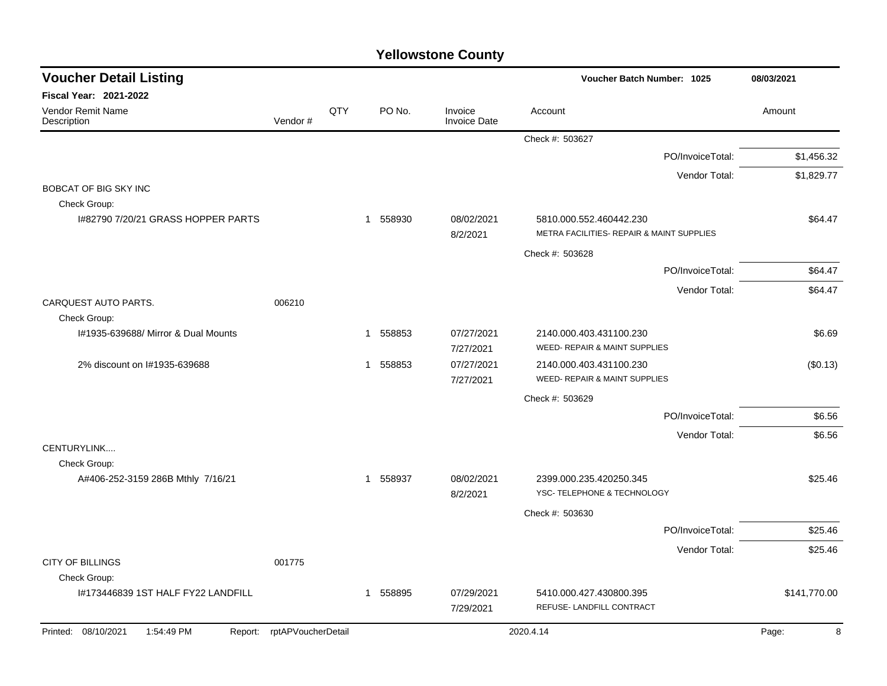| <b>Voucher Detail Listing</b>           |                            |     |                        |                                | Voucher Batch Number: 1025                                           | 08/03/2021   |
|-----------------------------------------|----------------------------|-----|------------------------|--------------------------------|----------------------------------------------------------------------|--------------|
| <b>Fiscal Year: 2021-2022</b>           |                            |     |                        |                                |                                                                      |              |
| Vendor Remit Name<br>Description        | Vendor#                    | QTY | PO No.                 | Invoice<br><b>Invoice Date</b> | Account                                                              | Amount       |
|                                         |                            |     |                        |                                | Check #: 503627                                                      |              |
|                                         |                            |     |                        |                                | PO/InvoiceTotal:                                                     | \$1,456.32   |
|                                         |                            |     |                        |                                | Vendor Total:                                                        | \$1,829.77   |
| BOBCAT OF BIG SKY INC                   |                            |     |                        |                                |                                                                      |              |
| Check Group:                            |                            |     |                        |                                |                                                                      |              |
| 1#82790 7/20/21 GRASS HOPPER PARTS      |                            |     | 558930<br>$\mathbf{1}$ | 08/02/2021<br>8/2/2021         | 5810.000.552.460442.230<br>METRA FACILITIES- REPAIR & MAINT SUPPLIES | \$64.47      |
|                                         |                            |     |                        |                                | Check #: 503628                                                      |              |
|                                         |                            |     |                        |                                | PO/InvoiceTotal:                                                     | \$64.47      |
|                                         |                            |     |                        |                                | Vendor Total:                                                        | \$64.47      |
| CARQUEST AUTO PARTS.                    | 006210                     |     |                        |                                |                                                                      |              |
| Check Group:                            |                            |     |                        |                                |                                                                      |              |
| 1#1935-639688/ Mirror & Dual Mounts     |                            |     | 558853<br>-1           | 07/27/2021<br>7/27/2021        | 2140.000.403.431100.230<br>WEED- REPAIR & MAINT SUPPLIES             | \$6.69       |
| 2% discount on I#1935-639688            |                            |     | 558853<br>$\mathbf 1$  | 07/27/2021<br>7/27/2021        | 2140.000.403.431100.230<br><b>WEED- REPAIR &amp; MAINT SUPPLIES</b>  | (\$0.13)     |
|                                         |                            |     |                        |                                | Check #: 503629                                                      |              |
|                                         |                            |     |                        |                                | PO/InvoiceTotal:                                                     | \$6.56       |
|                                         |                            |     |                        |                                | Vendor Total:                                                        | \$6.56       |
| CENTURYLINK                             |                            |     |                        |                                |                                                                      |              |
| Check Group:                            |                            |     |                        |                                |                                                                      |              |
| A#406-252-3159 286B Mthly 7/16/21       |                            |     | 558937<br>1            | 08/02/2021<br>8/2/2021         | 2399.000.235.420250.345<br>YSC- TELEPHONE & TECHNOLOGY               | \$25.46      |
|                                         |                            |     |                        |                                | Check #: 503630                                                      |              |
|                                         |                            |     |                        |                                | PO/InvoiceTotal:                                                     | \$25.46      |
|                                         |                            |     |                        |                                | Vendor Total:                                                        | \$25.46      |
| <b>CITY OF BILLINGS</b><br>Check Group: | 001775                     |     |                        |                                |                                                                      |              |
| I#173446839 1ST HALF FY22 LANDFILL      |                            |     | 558895<br>-1           | 07/29/2021                     | 5410.000.427.430800.395                                              | \$141,770.00 |
|                                         |                            |     |                        | 7/29/2021                      | REFUSE- LANDFILL CONTRACT                                            |              |
| Printed: 08/10/2021<br>1:54:49 PM       | Report: rptAPVoucherDetail |     |                        |                                | 2020.4.14                                                            | 8<br>Page:   |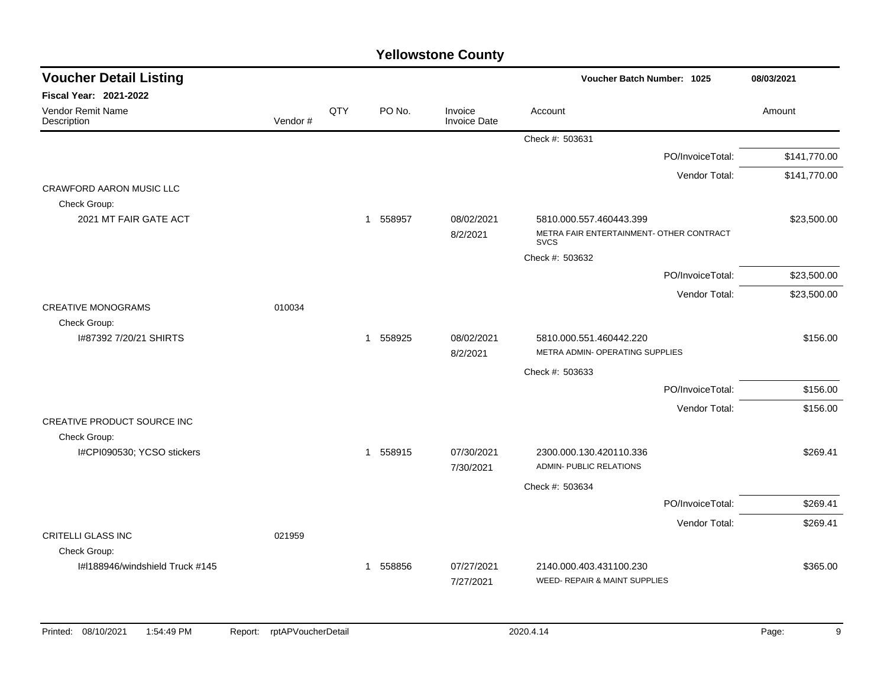| <b>Voucher Detail Listing</b>    |         |     |                        |                                | Voucher Batch Number: 1025                                          |                  | 08/03/2021   |
|----------------------------------|---------|-----|------------------------|--------------------------------|---------------------------------------------------------------------|------------------|--------------|
| Fiscal Year: 2021-2022           |         |     |                        |                                |                                                                     |                  |              |
| Vendor Remit Name<br>Description | Vendor# | QTY | PO No.                 | Invoice<br><b>Invoice Date</b> | Account                                                             |                  | Amount       |
|                                  |         |     |                        |                                | Check #: 503631                                                     |                  |              |
|                                  |         |     |                        |                                |                                                                     | PO/InvoiceTotal: | \$141,770.00 |
|                                  |         |     |                        |                                |                                                                     | Vendor Total:    | \$141,770.00 |
| CRAWFORD AARON MUSIC LLC         |         |     |                        |                                |                                                                     |                  |              |
| Check Group:                     |         |     |                        |                                |                                                                     |                  |              |
| 2021 MT FAIR GATE ACT            |         |     | 558957<br>$\mathbf{1}$ | 08/02/2021<br>8/2/2021         | 5810.000.557.460443.399<br>METRA FAIR ENTERTAINMENT- OTHER CONTRACT |                  | \$23,500.00  |
|                                  |         |     |                        |                                | <b>SVCS</b>                                                         |                  |              |
|                                  |         |     |                        |                                | Check #: 503632                                                     |                  |              |
|                                  |         |     |                        |                                |                                                                     | PO/InvoiceTotal: | \$23,500.00  |
|                                  |         |     |                        |                                |                                                                     | Vendor Total:    | \$23,500.00  |
| <b>CREATIVE MONOGRAMS</b>        | 010034  |     |                        |                                |                                                                     |                  |              |
| Check Group:                     |         |     |                        |                                |                                                                     |                  |              |
| I#87392 7/20/21 SHIRTS           |         |     | 1 558925               | 08/02/2021<br>8/2/2021         | 5810.000.551.460442.220<br>METRA ADMIN- OPERATING SUPPLIES          |                  | \$156.00     |
|                                  |         |     |                        |                                |                                                                     |                  |              |
|                                  |         |     |                        |                                | Check #: 503633                                                     | PO/InvoiceTotal: | \$156.00     |
|                                  |         |     |                        |                                |                                                                     |                  |              |
| CREATIVE PRODUCT SOURCE INC      |         |     |                        |                                |                                                                     | Vendor Total:    | \$156.00     |
| Check Group:                     |         |     |                        |                                |                                                                     |                  |              |
| I#CPI090530; YCSO stickers       |         |     | 1 558915               | 07/30/2021<br>7/30/2021        | 2300.000.130.420110.336<br>ADMIN- PUBLIC RELATIONS                  |                  | \$269.41     |
|                                  |         |     |                        |                                | Check #: 503634                                                     |                  |              |
|                                  |         |     |                        |                                |                                                                     | PO/InvoiceTotal: | \$269.41     |
|                                  |         |     |                        |                                |                                                                     | Vendor Total:    | \$269.41     |
| <b>CRITELLI GLASS INC</b>        | 021959  |     |                        |                                |                                                                     |                  |              |
| Check Group:                     |         |     |                        |                                |                                                                     |                  |              |
| I#I188946/windshield Truck #145  |         |     | 1 558856               | 07/27/2021                     | 2140.000.403.431100.230                                             |                  | \$365.00     |
|                                  |         |     |                        | 7/27/2021                      | WEED- REPAIR & MAINT SUPPLIES                                       |                  |              |
|                                  |         |     |                        |                                |                                                                     |                  |              |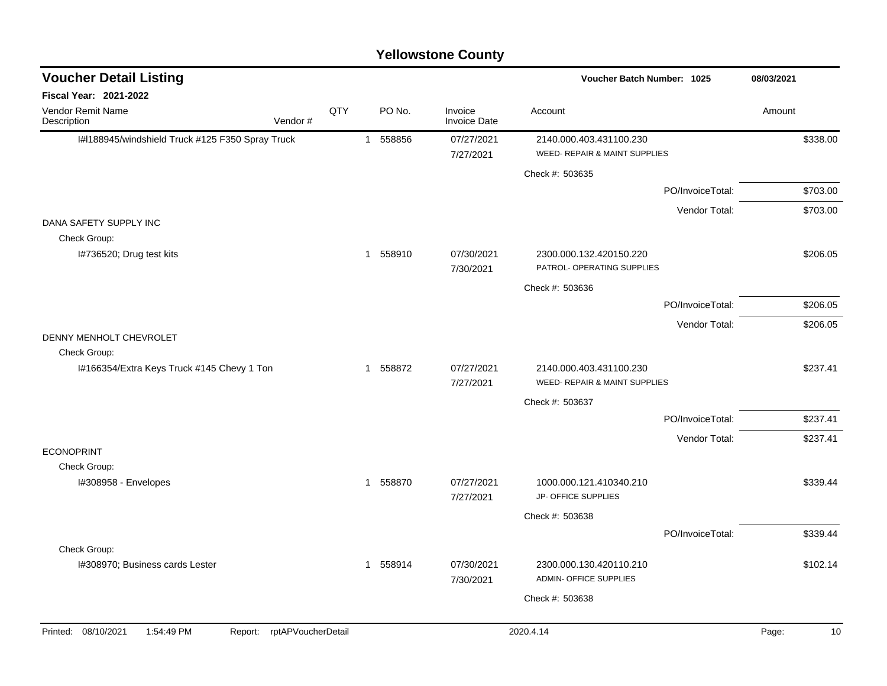#### I#l188945/windshield Truck #125 F350 Spray Truck 1 558856 07/27/2021 2140.000.403.431100.230 \$338.00 7/27/2021 WEED- REPAIR & MAINT SUPPLIES Check #: 503635 PO/InvoiceTotal: \$703.00 Vendor Total: \$703.00 DANA SAFETY SUPPLY INC Check Group: I#736520; Drug test kits 1 1 558910 1 558910 07/30/2021 2300.000.132.420150.220 7/30/2021 PATROL- OPERATING SUPPLIES Check #: 503636 PO/InvoiceTotal: \$206.05 Vendor Total: \$206.05 DENNY MENHOLT CHEVROLET Check Group: I#166354/Extra Keys Truck #145 Chevy 1 Ton 1 558872 07/27/2021 2140.000.403.431100.230 \$237.41 7/27/2021 WEED- REPAIR & MAINT SUPPLIES Check #: 503637 PO/InvoiceTotal: \$237.41 Vendor Total: \$237.41 ECONOPRINT Check Group: I#308958 - Envelopes 1 558870 07/27/2021 1000.000.121.410340.210 \$339.44 7/27/2021 JP- OFFICE SUPPLIES Check #: 503638 PO/InvoiceTotal: \$339.44 Check Group: I#308970; Business cards Lester 1 558914 07/30/2021 2300.000.130.420110.210 \$102.14 7/30/2021 ADMIN- OFFICE SUPPLIES Check #: 503638 **Voucher Batch Number: Yellowstone County** Vendor Remit Name **Description Voucher Detail Listing Fiscal Year: 2021-2022 1025 08/03/2021** PO No. Invoice Account Amount Amount Amount Amount Vendor # **QTY** Invoice Date Printed: 08/10/2021 1:54:49 PM Report: rptAPVoucherDetail 2020.4.14 2020.4.14 Page: 10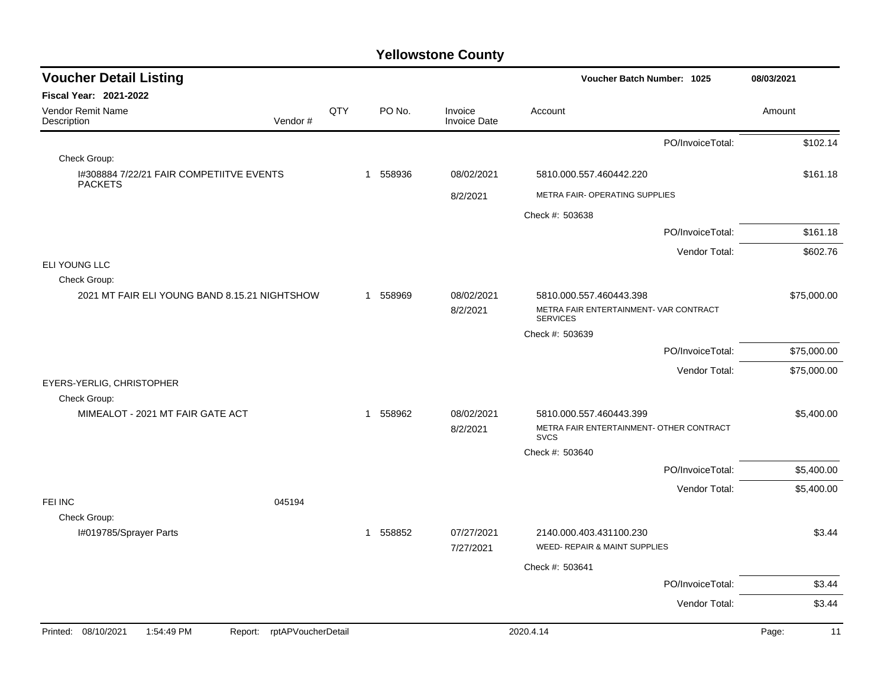| <b>Voucher Detail Listing</b>                                 |                    |     |             |                                | <b>Voucher Batch Number: 1025</b>                         | 08/03/2021  |
|---------------------------------------------------------------|--------------------|-----|-------------|--------------------------------|-----------------------------------------------------------|-------------|
| Fiscal Year: 2021-2022                                        |                    |     |             |                                |                                                           |             |
| Vendor Remit Name<br>Description                              | Vendor#            | QTY | PO No.      | Invoice<br><b>Invoice Date</b> | Account                                                   | Amount      |
|                                                               |                    |     |             |                                | PO/InvoiceTotal:                                          | \$102.14    |
| Check Group:                                                  |                    |     |             |                                |                                                           |             |
| 1#308884 7/22/21 FAIR COMPETIITVE EVENTS<br><b>PACKETS</b>    |                    |     | 558936<br>1 | 08/02/2021                     | 5810.000.557.460442.220                                   | \$161.18    |
|                                                               |                    |     |             | 8/2/2021                       | METRA FAIR- OPERATING SUPPLIES                            |             |
|                                                               |                    |     |             |                                | Check #: 503638                                           |             |
|                                                               |                    |     |             |                                | PO/InvoiceTotal:                                          | \$161.18    |
|                                                               |                    |     |             |                                | Vendor Total:                                             | \$602.76    |
| ELI YOUNG LLC                                                 |                    |     |             |                                |                                                           |             |
| Check Group:<br>2021 MT FAIR ELI YOUNG BAND 8.15.21 NIGHTSHOW |                    |     | 558969<br>1 | 08/02/2021                     | 5810.000.557.460443.398                                   | \$75,000.00 |
|                                                               |                    |     |             | 8/2/2021                       | METRA FAIR ENTERTAINMENT- VAR CONTRACT<br><b>SERVICES</b> |             |
|                                                               |                    |     |             |                                | Check #: 503639                                           |             |
|                                                               |                    |     |             |                                | PO/InvoiceTotal:                                          | \$75,000.00 |
|                                                               |                    |     |             |                                | Vendor Total:                                             | \$75,000.00 |
| EYERS-YERLIG, CHRISTOPHER<br>Check Group:                     |                    |     |             |                                |                                                           |             |
| MIMEALOT - 2021 MT FAIR GATE ACT                              |                    |     | 558962<br>1 | 08/02/2021                     | 5810.000.557.460443.399                                   | \$5,400.00  |
|                                                               |                    |     |             | 8/2/2021                       | METRA FAIR ENTERTAINMENT- OTHER CONTRACT<br><b>SVCS</b>   |             |
|                                                               |                    |     |             |                                | Check #: 503640                                           |             |
|                                                               |                    |     |             |                                | PO/InvoiceTotal:                                          | \$5,400.00  |
|                                                               |                    |     |             |                                | Vendor Total:                                             | \$5,400.00  |
| FEI INC<br>Check Group:                                       | 045194             |     |             |                                |                                                           |             |
| I#019785/Sprayer Parts                                        |                    |     | 1 558852    | 07/27/2021                     | 2140.000.403.431100.230                                   | \$3.44      |
|                                                               |                    |     |             | 7/27/2021                      | <b>WEED- REPAIR &amp; MAINT SUPPLIES</b>                  |             |
|                                                               |                    |     |             |                                | Check #: 503641                                           |             |
|                                                               |                    |     |             |                                | PO/InvoiceTotal:                                          | \$3.44      |
|                                                               |                    |     |             |                                | Vendor Total:                                             | \$3.44      |
| Printed: 08/10/2021<br>1:54:49 PM<br>Report:                  | rptAPVoucherDetail |     |             |                                | 2020.4.14                                                 | Page:<br>11 |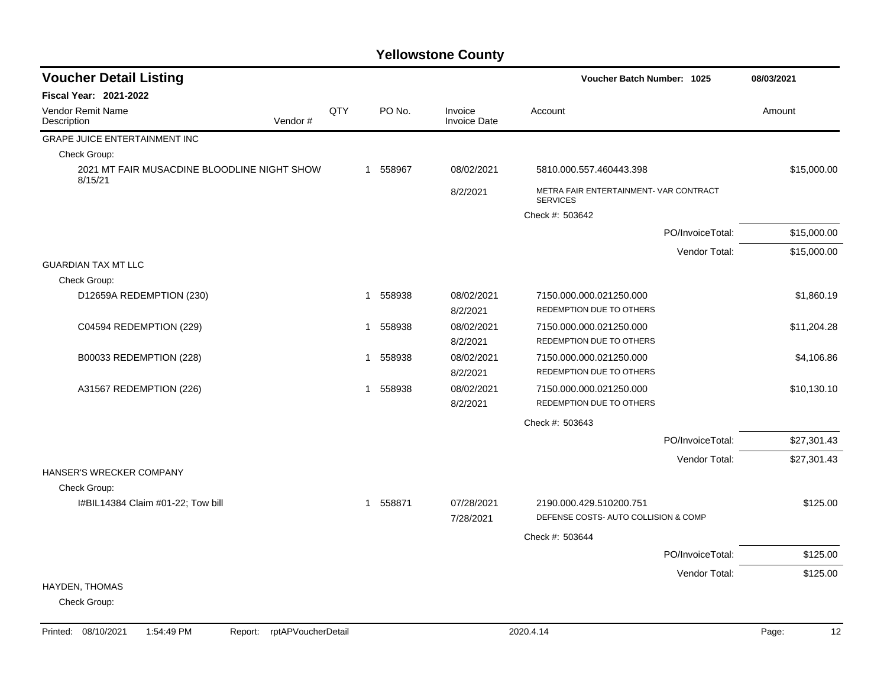| <b>Voucher Detail Listing</b>                          |     |                        |                                | Voucher Batch Number: 1025                                | 08/03/2021  |
|--------------------------------------------------------|-----|------------------------|--------------------------------|-----------------------------------------------------------|-------------|
| <b>Fiscal Year: 2021-2022</b>                          |     |                        |                                |                                                           |             |
| Vendor Remit Name<br>Description<br>Vendor#            | QTY | PO No.                 | Invoice<br><b>Invoice Date</b> | Account                                                   | Amount      |
| <b>GRAPE JUICE ENTERTAINMENT INC</b>                   |     |                        |                                |                                                           |             |
| Check Group:                                           |     |                        |                                |                                                           |             |
| 2021 MT FAIR MUSACDINE BLOODLINE NIGHT SHOW<br>8/15/21 |     | 1 558967               | 08/02/2021                     | 5810.000.557.460443.398                                   | \$15,000.00 |
|                                                        |     |                        | 8/2/2021                       | METRA FAIR ENTERTAINMENT- VAR CONTRACT<br><b>SERVICES</b> |             |
|                                                        |     |                        |                                | Check #: 503642                                           |             |
|                                                        |     |                        |                                | PO/InvoiceTotal:                                          | \$15,000.00 |
|                                                        |     |                        |                                | Vendor Total:                                             | \$15,000.00 |
| <b>GUARDIAN TAX MT LLC</b>                             |     |                        |                                |                                                           |             |
| Check Group:                                           |     |                        |                                |                                                           |             |
| D12659A REDEMPTION (230)                               |     | 558938<br>-1           | 08/02/2021                     | 7150.000.000.021250.000                                   | \$1,860.19  |
|                                                        |     |                        | 8/2/2021                       | REDEMPTION DUE TO OTHERS                                  |             |
| C04594 REDEMPTION (229)                                |     | 558938<br>$\mathbf{1}$ | 08/02/2021<br>8/2/2021         | 7150.000.000.021250.000<br>REDEMPTION DUE TO OTHERS       | \$11,204.28 |
| B00033 REDEMPTION (228)                                |     | 558938<br>-1           | 08/02/2021                     | 7150.000.000.021250.000                                   | \$4,106.86  |
|                                                        |     |                        | 8/2/2021                       | REDEMPTION DUE TO OTHERS                                  |             |
| A31567 REDEMPTION (226)                                |     | 558938<br>1            | 08/02/2021                     | 7150.000.000.021250.000                                   | \$10,130.10 |
|                                                        |     |                        | 8/2/2021                       | REDEMPTION DUE TO OTHERS                                  |             |
|                                                        |     |                        |                                | Check #: 503643                                           |             |
|                                                        |     |                        |                                | PO/InvoiceTotal:                                          | \$27,301.43 |
|                                                        |     |                        |                                | Vendor Total:                                             | \$27,301.43 |
| HANSER'S WRECKER COMPANY                               |     |                        |                                |                                                           |             |
| Check Group:                                           |     |                        |                                |                                                           |             |
| I#BIL14384 Claim #01-22; Tow bill                      |     | 1 558871               | 07/28/2021                     | 2190.000.429.510200.751                                   | \$125.00    |
|                                                        |     |                        | 7/28/2021                      | DEFENSE COSTS- AUTO COLLISION & COMP                      |             |
|                                                        |     |                        |                                | Check #: 503644                                           |             |
|                                                        |     |                        |                                | PO/InvoiceTotal:                                          | \$125.00    |
|                                                        |     |                        |                                | Vendor Total:                                             | \$125.00    |
| <b>HAYDEN, THOMAS</b>                                  |     |                        |                                |                                                           |             |
| Check Group:                                           |     |                        |                                |                                                           |             |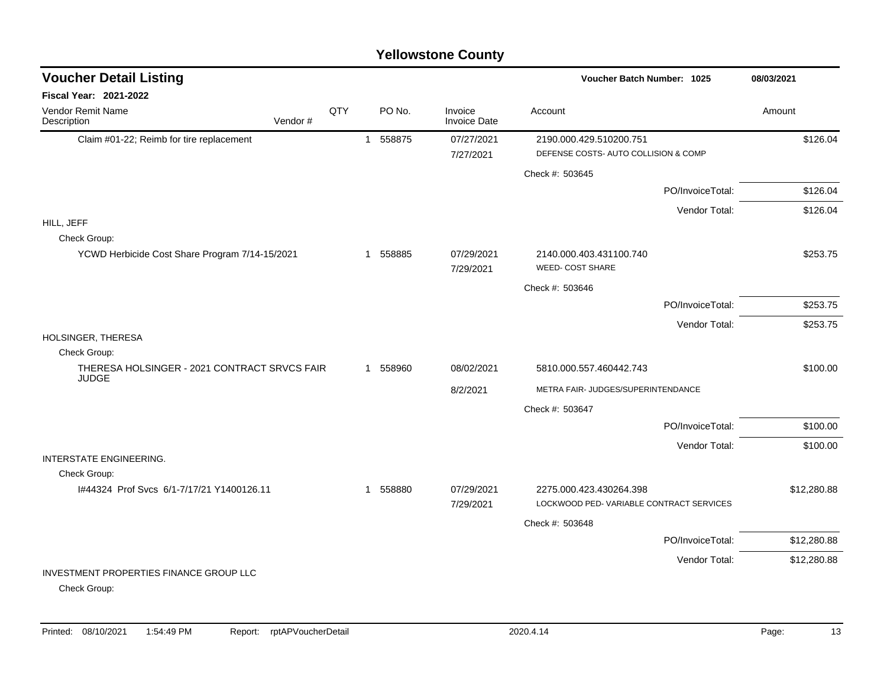#### Claim #01-22; Reimb for tire replacement 1 1 558875 07/27/2021 2190.000.429.510200.751 \$126.04 7/27/2021 DEFENSE COSTS- AUTO COLLISION & COMP Check #: 503645 PO/InvoiceTotal: \$126.04 Vendor Total: \$126.04 HILL, JEFF Check Group: YCWD Herbicide Cost Share Program 7/14-15/2021 1 558885 07/29/2021 2140.000.403.431100.740 \$253.75 7/29/2021 WEED- COST SHARE Check #: 503646 PO/InvoiceTotal: \$253.75 Vendor Total: \$253.75 HOLSINGER, THERESA Check Group: THERESA HOLSINGER - 2021 CONTRACT SRVCS FAIR JUDGE 1 558960 08/02/2021 5810.000.557.460442.743 \$100.00 8/2/2021 METRA FAIR- JUDGES/SUPERINTENDANCE Check #: 503647 PO/InvoiceTotal: \$100.00 Vendor Total: \$100.00 INTERSTATE ENGINEERING. Check Group: I#44324 Prof Svcs 6/1-7/17/21 Y1400126.11 1 558880 07/29/2021 2275.000.423.430264.398 \$12,280.88 7/29/2021 LOCKWOOD PED- VARIABLE CONTRACT SERVICES Check #: 503648 PO/InvoiceTotal: \$12,280.88 Vendor Total: \$12,280.88 INVESTMENT PROPERTIES FINANCE GROUP LLC Check Group: **Voucher Batch Number:** Vendor Remit Name **Description Voucher Detail Listing Fiscal Year: 2021-2022 1025 08/03/2021** PO No. Invoice Account Amount Amount Amount Amount Vendor # **QTY** Invoice Date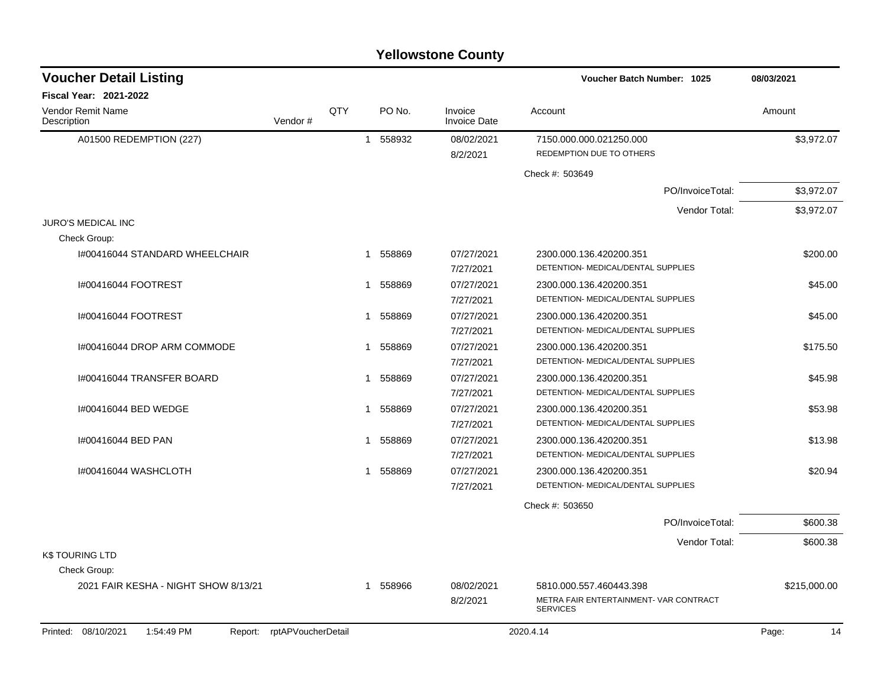|                                         |         |     |                        | <b>Yellowstone County</b>      |                                                           |              |
|-----------------------------------------|---------|-----|------------------------|--------------------------------|-----------------------------------------------------------|--------------|
| <b>Voucher Detail Listing</b>           |         |     |                        |                                | Voucher Batch Number: 1025                                | 08/03/2021   |
| <b>Fiscal Year: 2021-2022</b>           |         |     |                        |                                |                                                           |              |
| <b>Vendor Remit Name</b><br>Description | Vendor# | QTY | PO No.                 | Invoice<br><b>Invoice Date</b> | Account                                                   | Amount       |
| A01500 REDEMPTION (227)                 |         |     | 558932<br>$\mathbf{1}$ | 08/02/2021<br>8/2/2021         | 7150.000.000.021250.000<br>REDEMPTION DUE TO OTHERS       | \$3,972.07   |
|                                         |         |     |                        |                                | Check #: 503649                                           |              |
|                                         |         |     |                        |                                | PO/InvoiceTotal:                                          | \$3,972.07   |
|                                         |         |     |                        |                                | Vendor Total:                                             | \$3,972.07   |
| <b>JURO'S MEDICAL INC</b>               |         |     |                        |                                |                                                           |              |
| Check Group:                            |         |     |                        |                                |                                                           |              |
| I#00416044 STANDARD WHEELCHAIR          |         |     | 558869<br>1            | 07/27/2021                     | 2300.000.136.420200.351                                   | \$200.00     |
|                                         |         |     |                        | 7/27/2021                      | DETENTION- MEDICAL/DENTAL SUPPLIES                        |              |
| 1#00416044 FOOTREST                     |         |     | 558869<br>1            | 07/27/2021                     | 2300.000.136.420200.351                                   | \$45.00      |
|                                         |         |     |                        | 7/27/2021                      | DETENTION- MEDICAL/DENTAL SUPPLIES                        |              |
| 1#00416044 FOOTREST                     |         |     | 558869<br>1            | 07/27/2021                     | 2300.000.136.420200.351                                   | \$45.00      |
|                                         |         |     |                        | 7/27/2021                      | DETENTION- MEDICAL/DENTAL SUPPLIES                        |              |
| I#00416044 DROP ARM COMMODE             |         |     | 558869<br>1            | 07/27/2021                     | 2300.000.136.420200.351                                   | \$175.50     |
|                                         |         |     |                        | 7/27/2021                      | DETENTION- MEDICAL/DENTAL SUPPLIES                        |              |
| I#00416044 TRANSFER BOARD               |         |     | 558869<br>1            | 07/27/2021                     | 2300.000.136.420200.351                                   | \$45.98      |
|                                         |         |     |                        | 7/27/2021                      | DETENTION- MEDICAL/DENTAL SUPPLIES                        |              |
| I#00416044 BED WEDGE                    |         |     | 558869<br>1            | 07/27/2021                     | 2300.000.136.420200.351                                   | \$53.98      |
|                                         |         |     |                        | 7/27/2021                      | DETENTION- MEDICAL/DENTAL SUPPLIES                        |              |
| I#00416044 BED PAN                      |         |     | 558869<br>1            | 07/27/2021                     | 2300.000.136.420200.351                                   | \$13.98      |
|                                         |         |     |                        | 7/27/2021                      | DETENTION- MEDICAL/DENTAL SUPPLIES                        |              |
| I#00416044 WASHCLOTH                    |         |     | 558869<br>1            | 07/27/2021                     | 2300.000.136.420200.351                                   | \$20.94      |
|                                         |         |     |                        | 7/27/2021                      | DETENTION- MEDICAL/DENTAL SUPPLIES                        |              |
|                                         |         |     |                        |                                | Check #: 503650                                           |              |
|                                         |         |     |                        |                                | PO/InvoiceTotal:                                          | \$600.38     |
|                                         |         |     |                        |                                | Vendor Total:                                             | \$600.38     |
| <b>K\$TOURING LTD</b>                   |         |     |                        |                                |                                                           |              |
| Check Group:                            |         |     |                        |                                |                                                           |              |
| 2021 FAIR KESHA - NIGHT SHOW 8/13/21    |         |     | 558966<br>1            | 08/02/2021                     | 5810.000.557.460443.398                                   | \$215,000.00 |
|                                         |         |     |                        | 8/2/2021                       | METRA FAIR ENTERTAINMENT- VAR CONTRACT<br><b>SERVICES</b> |              |

#### Printed: 08/10/2021 1:54:49 PM Report: rptAPVoucherDetail 2020.4.14 2020.4.14 2020.4.14 Page: 14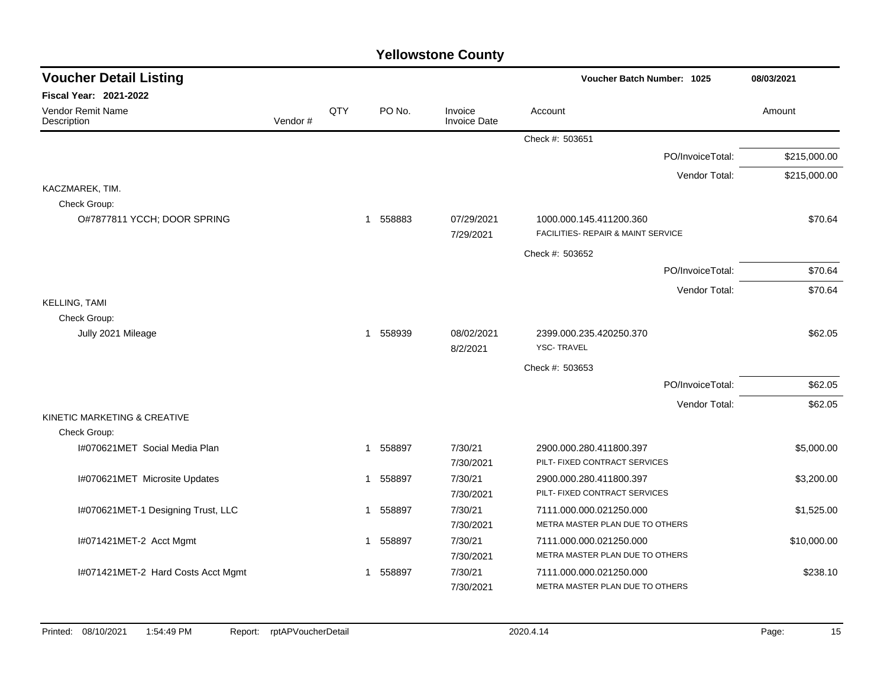| <b>Voucher Detail Listing</b><br><b>Voucher Batch Number: 1025</b> |         | 08/03/2021 |                        |                         |                                                               |                  |              |
|--------------------------------------------------------------------|---------|------------|------------------------|-------------------------|---------------------------------------------------------------|------------------|--------------|
| <b>Fiscal Year: 2021-2022</b>                                      |         |            |                        |                         |                                                               |                  |              |
| Vendor Remit Name<br>Description                                   | Vendor# | QTY        | PO No.                 | Invoice<br>Invoice Date | Account                                                       |                  | Amount       |
|                                                                    |         |            |                        |                         | Check #: 503651                                               |                  |              |
|                                                                    |         |            |                        |                         |                                                               | PO/InvoiceTotal: | \$215,000.00 |
|                                                                    |         |            |                        |                         |                                                               | Vendor Total:    | \$215,000.00 |
| KACZMAREK, TIM.<br>Check Group:                                    |         |            |                        |                         |                                                               |                  |              |
| O#7877811 YCCH; DOOR SPRING                                        |         |            | 558883<br>$\mathbf{1}$ | 07/29/2021<br>7/29/2021 | 1000.000.145.411200.360<br>FACILITIES- REPAIR & MAINT SERVICE |                  | \$70.64      |
|                                                                    |         |            |                        |                         | Check #: 503652                                               |                  |              |
|                                                                    |         |            |                        |                         |                                                               | PO/InvoiceTotal: | \$70.64      |
|                                                                    |         |            |                        |                         |                                                               | Vendor Total:    | \$70.64      |
| <b>KELLING, TAMI</b><br>Check Group:                               |         |            |                        |                         |                                                               |                  |              |
| Jully 2021 Mileage                                                 |         |            | 558939<br>$\mathbf{1}$ | 08/02/2021<br>8/2/2021  | 2399.000.235.420250.370<br><b>YSC-TRAVEL</b>                  |                  | \$62.05      |
|                                                                    |         |            |                        |                         | Check #: 503653                                               |                  |              |
|                                                                    |         |            |                        |                         |                                                               | PO/InvoiceTotal: | \$62.05      |
|                                                                    |         |            |                        |                         |                                                               | Vendor Total:    | \$62.05      |
| KINETIC MARKETING & CREATIVE                                       |         |            |                        |                         |                                                               |                  |              |
| Check Group:                                                       |         |            |                        |                         |                                                               |                  |              |
| 1#070621MET Social Media Plan                                      |         |            | 558897<br>$\mathbf 1$  | 7/30/21<br>7/30/2021    | 2900.000.280.411800.397<br>PILT- FIXED CONTRACT SERVICES      |                  | \$5,000.00   |
| I#070621MET Microsite Updates                                      |         |            | 558897<br>$\mathbf{1}$ | 7/30/21<br>7/30/2021    | 2900.000.280.411800.397<br>PILT- FIXED CONTRACT SERVICES      |                  | \$3,200.00   |
| I#070621MET-1 Designing Trust, LLC                                 |         |            | 558897<br>$\mathbf{1}$ | 7/30/21<br>7/30/2021    | 7111.000.000.021250.000<br>METRA MASTER PLAN DUE TO OTHERS    |                  | \$1,525.00   |
| I#071421MET-2 Acct Mgmt                                            |         |            | 558897<br>1            | 7/30/21<br>7/30/2021    | 7111.000.000.021250.000<br>METRA MASTER PLAN DUE TO OTHERS    |                  | \$10,000.00  |
| I#071421MET-2 Hard Costs Acct Mgmt                                 |         |            | 558897                 | 7/30/21<br>7/30/2021    | 7111.000.000.021250.000<br>METRA MASTER PLAN DUE TO OTHERS    |                  | \$238.10     |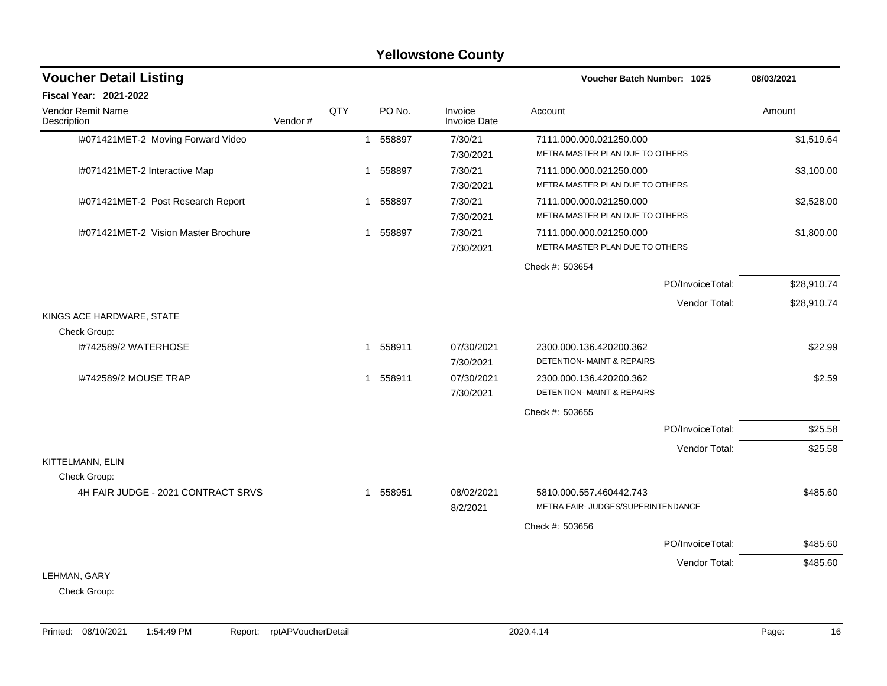|                                      |         |     |              |          | <b>Yellowstone County</b>      |                                                               |             |
|--------------------------------------|---------|-----|--------------|----------|--------------------------------|---------------------------------------------------------------|-------------|
| <b>Voucher Detail Listing</b>        |         |     |              |          |                                | <b>Voucher Batch Number: 1025</b>                             | 08/03/2021  |
| <b>Fiscal Year: 2021-2022</b>        |         |     |              |          |                                |                                                               |             |
| Vendor Remit Name<br>Description     | Vendor# | QTY |              | PO No.   | Invoice<br><b>Invoice Date</b> | Account                                                       | Amount      |
| I#071421MET-2 Moving Forward Video   |         |     | $\mathbf{1}$ | 558897   | 7/30/21<br>7/30/2021           | 7111.000.000.021250.000<br>METRA MASTER PLAN DUE TO OTHERS    | \$1,519.64  |
| I#071421MET-2 Interactive Map        |         |     | 1            | 558897   | 7/30/21<br>7/30/2021           | 7111.000.000.021250.000<br>METRA MASTER PLAN DUE TO OTHERS    | \$3,100.00  |
| I#071421MET-2 Post Research Report   |         |     | 1            | 558897   | 7/30/21<br>7/30/2021           | 7111.000.000.021250.000<br>METRA MASTER PLAN DUE TO OTHERS    | \$2,528.00  |
| I#071421MET-2 Vision Master Brochure |         |     |              | 1 558897 | 7/30/21<br>7/30/2021           | 7111.000.000.021250.000<br>METRA MASTER PLAN DUE TO OTHERS    | \$1,800.00  |
|                                      |         |     |              |          |                                | Check #: 503654                                               |             |
|                                      |         |     |              |          |                                | PO/InvoiceTotal:                                              | \$28,910.74 |
|                                      |         |     |              |          |                                | Vendor Total:                                                 | \$28,910.74 |
| KINGS ACE HARDWARE, STATE            |         |     |              |          |                                |                                                               |             |
| Check Group:                         |         |     |              |          |                                |                                                               |             |
| I#742589/2 WATERHOSE                 |         |     |              | 1 558911 | 07/30/2021<br>7/30/2021        | 2300.000.136.420200.362<br>DETENTION- MAINT & REPAIRS         | \$22.99     |
| 1#742589/2 MOUSE TRAP                |         |     | $\mathbf 1$  | 558911   | 07/30/2021<br>7/30/2021        | 2300.000.136.420200.362<br>DETENTION- MAINT & REPAIRS         | \$2.59      |
|                                      |         |     |              |          |                                | Check #: 503655                                               |             |
|                                      |         |     |              |          |                                | PO/InvoiceTotal:                                              | \$25.58     |
|                                      |         |     |              |          |                                | Vendor Total:                                                 | \$25.58     |
| KITTELMANN, ELIN<br>Check Group:     |         |     |              |          |                                |                                                               |             |
| 4H FAIR JUDGE - 2021 CONTRACT SRVS   |         |     |              | 1 558951 | 08/02/2021<br>8/2/2021         | 5810.000.557.460442.743<br>METRA FAIR- JUDGES/SUPERINTENDANCE | \$485.60    |
|                                      |         |     |              |          |                                | Check #: 503656                                               |             |
|                                      |         |     |              |          |                                | PO/InvoiceTotal:                                              | \$485.60    |
|                                      |         |     |              |          |                                | Vendor Total:                                                 | \$485.60    |
| LEHMAN, GARY                         |         |     |              |          |                                |                                                               |             |
| Check Group:                         |         |     |              |          |                                |                                                               |             |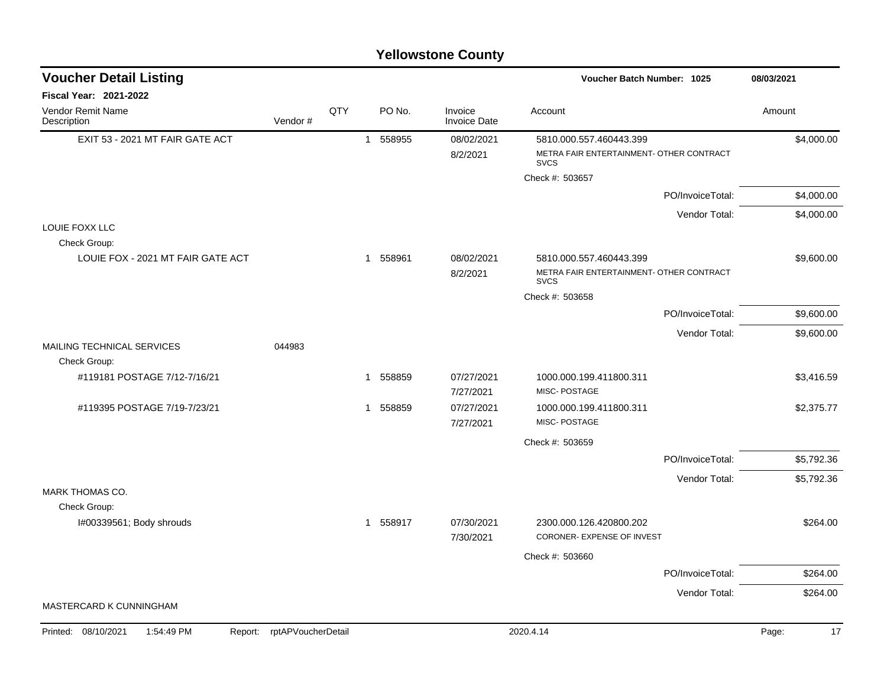|                                              | <b>Yellowstone County</b>  |     |   |        |                                |                                                         |                  |             |  |  |  |  |  |
|----------------------------------------------|----------------------------|-----|---|--------|--------------------------------|---------------------------------------------------------|------------------|-------------|--|--|--|--|--|
| <b>Voucher Detail Listing</b>                |                            |     |   |        |                                | <b>Voucher Batch Number: 1025</b>                       |                  | 08/03/2021  |  |  |  |  |  |
| Fiscal Year: 2021-2022                       |                            |     |   |        |                                |                                                         |                  |             |  |  |  |  |  |
| Vendor Remit Name<br>Description             | Vendor#                    | QTY |   | PO No. | Invoice<br><b>Invoice Date</b> | Account                                                 |                  | Amount      |  |  |  |  |  |
| EXIT 53 - 2021 MT FAIR GATE ACT              |                            |     | 1 | 558955 | 08/02/2021                     | 5810.000.557.460443.399                                 |                  | \$4,000.00  |  |  |  |  |  |
|                                              |                            |     |   |        | 8/2/2021                       | METRA FAIR ENTERTAINMENT- OTHER CONTRACT<br><b>SVCS</b> |                  |             |  |  |  |  |  |
|                                              |                            |     |   |        |                                | Check #: 503657                                         |                  |             |  |  |  |  |  |
|                                              |                            |     |   |        |                                |                                                         | PO/InvoiceTotal: | \$4,000.00  |  |  |  |  |  |
|                                              |                            |     |   |        |                                |                                                         | Vendor Total:    | \$4,000.00  |  |  |  |  |  |
| LOUIE FOXX LLC<br>Check Group:               |                            |     |   |        |                                |                                                         |                  |             |  |  |  |  |  |
| LOUIE FOX - 2021 MT FAIR GATE ACT            |                            |     | 1 | 558961 | 08/02/2021                     | 5810.000.557.460443.399                                 |                  | \$9,600.00  |  |  |  |  |  |
|                                              |                            |     |   |        | 8/2/2021                       | METRA FAIR ENTERTAINMENT- OTHER CONTRACT<br><b>SVCS</b> |                  |             |  |  |  |  |  |
|                                              |                            |     |   |        |                                | Check #: 503658                                         |                  |             |  |  |  |  |  |
|                                              |                            |     |   |        |                                |                                                         | PO/InvoiceTotal: | \$9,600.00  |  |  |  |  |  |
|                                              |                            |     |   |        |                                |                                                         | Vendor Total:    | \$9,600.00  |  |  |  |  |  |
| MAILING TECHNICAL SERVICES                   | 044983                     |     |   |        |                                |                                                         |                  |             |  |  |  |  |  |
| Check Group:<br>#119181 POSTAGE 7/12-7/16/21 |                            |     | 1 | 558859 | 07/27/2021                     | 1000.000.199.411800.311                                 |                  | \$3,416.59  |  |  |  |  |  |
|                                              |                            |     |   |        | 7/27/2021                      | MISC-POSTAGE                                            |                  |             |  |  |  |  |  |
| #119395 POSTAGE 7/19-7/23/21                 |                            |     | 1 | 558859 | 07/27/2021                     | 1000.000.199.411800.311                                 |                  | \$2,375.77  |  |  |  |  |  |
|                                              |                            |     |   |        | 7/27/2021                      | MISC-POSTAGE                                            |                  |             |  |  |  |  |  |
|                                              |                            |     |   |        |                                | Check #: 503659                                         |                  |             |  |  |  |  |  |
|                                              |                            |     |   |        |                                |                                                         | PO/InvoiceTotal: | \$5,792.36  |  |  |  |  |  |
|                                              |                            |     |   |        |                                |                                                         | Vendor Total:    | \$5,792.36  |  |  |  |  |  |
| MARK THOMAS CO.                              |                            |     |   |        |                                |                                                         |                  |             |  |  |  |  |  |
| Check Group:<br>I#00339561; Body shrouds     |                            |     | 1 | 558917 | 07/30/2021                     | 2300.000.126.420800.202                                 |                  | \$264.00    |  |  |  |  |  |
|                                              |                            |     |   |        | 7/30/2021                      | <b>CORONER- EXPENSE OF INVEST</b>                       |                  |             |  |  |  |  |  |
|                                              |                            |     |   |        |                                | Check #: 503660                                         |                  |             |  |  |  |  |  |
|                                              |                            |     |   |        |                                |                                                         | PO/InvoiceTotal: | \$264.00    |  |  |  |  |  |
|                                              |                            |     |   |        |                                |                                                         | Vendor Total:    | \$264.00    |  |  |  |  |  |
| MASTERCARD K CUNNINGHAM                      |                            |     |   |        |                                |                                                         |                  |             |  |  |  |  |  |
| Printed: 08/10/2021<br>1:54:49 PM            | Report: rptAPVoucherDetail |     |   |        |                                | 2020.4.14                                               |                  | Page:<br>17 |  |  |  |  |  |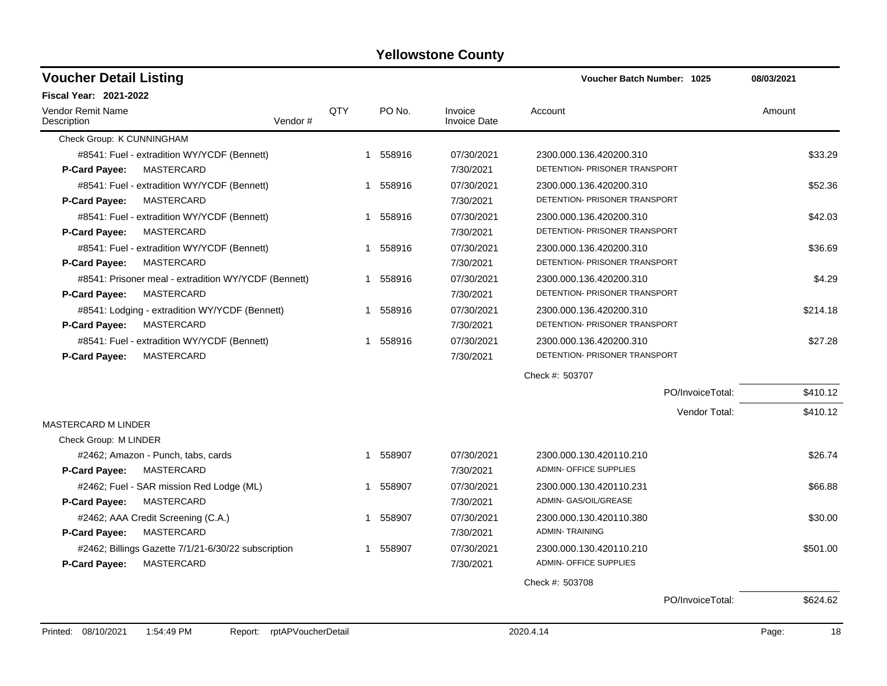| <b>Fiscal Year: 2021-2022</b>                        |                    |     |          |                                |                               |                  |             |
|------------------------------------------------------|--------------------|-----|----------|--------------------------------|-------------------------------|------------------|-------------|
|                                                      |                    |     |          |                                |                               |                  |             |
| Vendor Remit Name<br>Description                     | Vendor#            | QTY | PO No.   | Invoice<br><b>Invoice Date</b> | Account                       |                  | Amount      |
| Check Group: K CUNNINGHAM                            |                    |     |          |                                |                               |                  |             |
| #8541: Fuel - extradition WY/YCDF (Bennett)          |                    |     | 1 558916 | 07/30/2021                     | 2300.000.136.420200.310       |                  | \$33.29     |
| MASTERCARD<br>P-Card Payee:                          |                    |     |          | 7/30/2021                      | DETENTION- PRISONER TRANSPORT |                  |             |
| #8541: Fuel - extradition WY/YCDF (Bennett)          |                    | 1   | 558916   | 07/30/2021                     | 2300.000.136.420200.310       |                  | \$52.36     |
| P-Card Payee:<br>MASTERCARD                          |                    |     |          | 7/30/2021                      | DETENTION- PRISONER TRANSPORT |                  |             |
| #8541: Fuel - extradition WY/YCDF (Bennett)          |                    | 1   | 558916   | 07/30/2021                     | 2300.000.136.420200.310       |                  | \$42.03     |
| MASTERCARD<br>P-Card Payee:                          |                    |     |          | 7/30/2021                      | DETENTION- PRISONER TRANSPORT |                  |             |
| #8541: Fuel - extradition WY/YCDF (Bennett)          |                    | 1   | 558916   | 07/30/2021                     | 2300.000.136.420200.310       |                  | \$36.69     |
| MASTERCARD<br>P-Card Payee:                          |                    |     |          | 7/30/2021                      | DETENTION- PRISONER TRANSPORT |                  |             |
| #8541: Prisoner meal - extradition WY/YCDF (Bennett) |                    | 1   | 558916   | 07/30/2021                     | 2300.000.136.420200.310       |                  | \$4.29      |
| <b>MASTERCARD</b><br>P-Card Payee:                   |                    |     |          | 7/30/2021                      | DETENTION- PRISONER TRANSPORT |                  |             |
| #8541: Lodging - extradition WY/YCDF (Bennett)       |                    | 1   | 558916   | 07/30/2021                     | 2300.000.136.420200.310       |                  | \$214.18    |
| <b>P-Card Payee:</b><br>MASTERCARD                   |                    |     |          | 7/30/2021                      | DETENTION- PRISONER TRANSPORT |                  |             |
| #8541: Fuel - extradition WY/YCDF (Bennett)          |                    | 1   | 558916   | 07/30/2021                     | 2300.000.136.420200.310       |                  | \$27.28     |
| MASTERCARD<br>P-Card Payee:                          |                    |     |          | 7/30/2021                      | DETENTION- PRISONER TRANSPORT |                  |             |
|                                                      |                    |     |          |                                | Check #: 503707               |                  |             |
|                                                      |                    |     |          |                                |                               | PO/InvoiceTotal: | \$410.12    |
|                                                      |                    |     |          |                                |                               | Vendor Total:    | \$410.12    |
| <b>MASTERCARD M LINDER</b>                           |                    |     |          |                                |                               |                  |             |
| Check Group: M LINDER                                |                    |     |          |                                |                               |                  |             |
| #2462; Amazon - Punch, tabs, cards                   |                    | 1   | 558907   | 07/30/2021                     | 2300.000.130.420110.210       |                  | \$26.74     |
| MASTERCARD<br><b>P-Card Payee:</b>                   |                    |     |          | 7/30/2021                      | <b>ADMIN- OFFICE SUPPLIES</b> |                  |             |
| #2462; Fuel - SAR mission Red Lodge (ML)             |                    | 1   | 558907   | 07/30/2021                     | 2300.000.130.420110.231       |                  | \$66.88     |
| MASTERCARD<br><b>P-Card Payee:</b>                   |                    |     |          | 7/30/2021                      | ADMIN- GAS/OIL/GREASE         |                  |             |
| #2462; AAA Credit Screening (C.A.)                   |                    | 1   | 558907   | 07/30/2021                     | 2300.000.130.420110.380       |                  | \$30.00     |
| P-Card Payee:<br>MASTERCARD                          |                    |     |          | 7/30/2021                      | <b>ADMIN-TRAINING</b>         |                  |             |
| #2462; Billings Gazette 7/1/21-6/30/22 subscription  |                    | 1   | 558907   | 07/30/2021                     | 2300.000.130.420110.210       |                  | \$501.00    |
| MASTERCARD<br>P-Card Payee:                          |                    |     |          | 7/30/2021                      | <b>ADMIN- OFFICE SUPPLIES</b> |                  |             |
|                                                      |                    |     |          |                                | Check #: 503708               |                  |             |
|                                                      |                    |     |          |                                |                               | PO/InvoiceTotal: | \$624.62    |
| Printed: 08/10/2021<br>1:54:49 PM<br>Report:         | rptAPVoucherDetail |     |          |                                | 2020.4.14                     |                  | 18<br>Page: |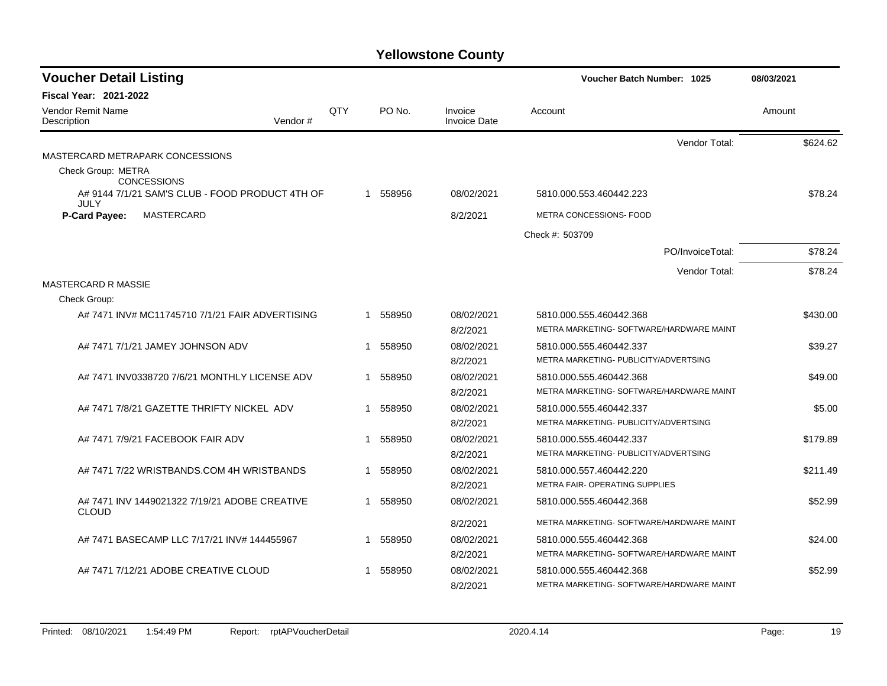| <b>Voucher Detail Listing</b>                                 |     |   |          |                                | <b>Voucher Batch Number: 1025</b>                                   | 08/03/2021 |
|---------------------------------------------------------------|-----|---|----------|--------------------------------|---------------------------------------------------------------------|------------|
| <b>Fiscal Year: 2021-2022</b>                                 |     |   |          |                                |                                                                     |            |
| Vendor Remit Name<br>Vendor#<br>Description                   | QTY |   | PO No.   | Invoice<br><b>Invoice Date</b> | Account                                                             | Amount     |
|                                                               |     |   |          |                                | Vendor Total:                                                       | \$624.62   |
| MASTERCARD METRAPARK CONCESSIONS                              |     |   |          |                                |                                                                     |            |
| Check Group: METRA<br><b>CONCESSIONS</b>                      |     |   |          |                                |                                                                     |            |
| A# 9144 7/1/21 SAM'S CLUB - FOOD PRODUCT 4TH OF<br>JULY       |     |   | 1 558956 | 08/02/2021                     | 5810.000.553.460442.223                                             | \$78.24    |
| <b>P-Card Payee:</b><br>MASTERCARD                            |     |   |          | 8/2/2021                       | METRA CONCESSIONS- FOOD                                             |            |
|                                                               |     |   |          |                                | Check #: 503709                                                     |            |
|                                                               |     |   |          |                                | PO/InvoiceTotal:                                                    | \$78.24    |
|                                                               |     |   |          |                                | Vendor Total:                                                       | \$78.24    |
| <b>MASTERCARD R MASSIE</b>                                    |     |   |          |                                |                                                                     |            |
| Check Group:                                                  |     |   |          |                                |                                                                     |            |
| A# 7471 INV# MC11745710 7/1/21 FAIR ADVERTISING               |     |   | 1 558950 | 08/02/2021<br>8/2/2021         | 5810.000.555.460442.368<br>METRA MARKETING- SOFTWARE/HARDWARE MAINT | \$430.00   |
| A# 7471 7/1/21 JAMEY JOHNSON ADV                              |     | 1 | 558950   | 08/02/2021                     | 5810.000.555.460442.337                                             | \$39.27    |
|                                                               |     |   |          | 8/2/2021                       | METRA MARKETING- PUBLICITY/ADVERTSING                               |            |
| A# 7471 INV0338720 7/6/21 MONTHLY LICENSE ADV                 |     |   | 1 558950 | 08/02/2021                     | 5810.000.555.460442.368                                             | \$49.00    |
|                                                               |     |   |          | 8/2/2021                       | METRA MARKETING- SOFTWARE/HARDWARE MAINT                            |            |
| A# 7471 7/8/21 GAZETTE THRIFTY NICKEL ADV                     |     | 1 | 558950   | 08/02/2021                     | 5810.000.555.460442.337                                             | \$5.00     |
|                                                               |     |   |          | 8/2/2021                       | METRA MARKETING- PUBLICITY/ADVERTSING                               |            |
| A# 7471 7/9/21 FACEBOOK FAIR ADV                              |     |   | 1 558950 | 08/02/2021                     | 5810.000.555.460442.337                                             | \$179.89   |
|                                                               |     |   |          | 8/2/2021                       | METRA MARKETING- PUBLICITY/ADVERTSING                               |            |
| A# 7471 7/22 WRISTBANDS.COM 4H WRISTBANDS                     |     | 1 | 558950   | 08/02/2021                     | 5810.000.557.460442.220                                             | \$211.49   |
|                                                               |     |   |          | 8/2/2021                       | <b>METRA FAIR- OPERATING SUPPLIES</b>                               |            |
| A# 7471 INV 1449021322 7/19/21 ADOBE CREATIVE<br><b>CLOUD</b> |     | 1 | 558950   | 08/02/2021                     | 5810.000.555.460442.368                                             | \$52.99    |
|                                                               |     |   |          | 8/2/2021                       | METRA MARKETING- SOFTWARE/HARDWARE MAINT                            |            |
| A# 7471 BASECAMP LLC 7/17/21 INV# 144455967                   |     | 1 | 558950   | 08/02/2021                     | 5810.000.555.460442.368                                             | \$24.00    |
|                                                               |     |   |          | 8/2/2021                       | METRA MARKETING- SOFTWARE/HARDWARE MAINT                            |            |
| A# 7471 7/12/21 ADOBE CREATIVE CLOUD                          |     | 1 | 558950   | 08/02/2021                     | 5810.000.555.460442.368                                             | \$52.99    |
|                                                               |     |   |          | 8/2/2021                       | METRA MARKETING- SOFTWARE/HARDWARE MAINT                            |            |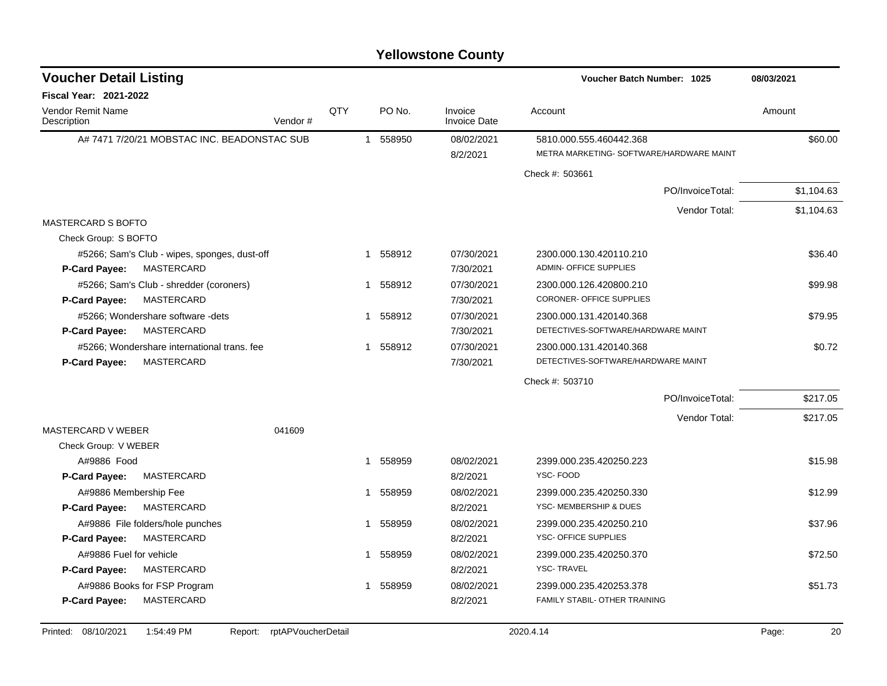| <b>Voucher Detail Listing</b>                |         |     |          |                                | <b>Voucher Batch Number: 1025</b>                                   | 08/03/2021 |
|----------------------------------------------|---------|-----|----------|--------------------------------|---------------------------------------------------------------------|------------|
| Fiscal Year: 2021-2022                       |         |     |          |                                |                                                                     |            |
| <b>Vendor Remit Name</b><br>Description      | Vendor# | QTY | PO No.   | Invoice<br><b>Invoice Date</b> | Account                                                             | Amount     |
| A# 7471 7/20/21 MOBSTAC INC. BEADONSTAC SUB  |         |     | 1 558950 | 08/02/2021<br>8/2/2021         | 5810.000.555.460442.368<br>METRA MARKETING- SOFTWARE/HARDWARE MAINT | \$60.00    |
|                                              |         |     |          |                                | Check #: 503661                                                     |            |
|                                              |         |     |          |                                | PO/InvoiceTotal:                                                    | \$1,104.63 |
|                                              |         |     |          |                                | Vendor Total:                                                       | \$1,104.63 |
| <b>MASTERCARD S BOFTO</b>                    |         |     |          |                                |                                                                     |            |
| Check Group: S BOFTO                         |         |     |          |                                |                                                                     |            |
| #5266; Sam's Club - wipes, sponges, dust-off |         |     | 1 558912 | 07/30/2021                     | 2300.000.130.420110.210                                             | \$36.40    |
| <b>P-Card Payee:</b><br>MASTERCARD           |         |     |          | 7/30/2021                      | <b>ADMIN- OFFICE SUPPLIES</b>                                       |            |
| #5266; Sam's Club - shredder (coroners)      |         |     | 1 558912 | 07/30/2021                     | 2300.000.126.420800.210                                             | \$99.98    |
| MASTERCARD<br>P-Card Payee:                  |         |     |          | 7/30/2021                      | CORONER- OFFICE SUPPLIES                                            |            |
| #5266; Wondershare software -dets            |         |     | 1 558912 | 07/30/2021                     | 2300.000.131.420140.368                                             | \$79.95    |
| MASTERCARD<br><b>P-Card Payee:</b>           |         |     |          | 7/30/2021                      | DETECTIVES-SOFTWARE/HARDWARE MAINT                                  |            |
| #5266; Wondershare international trans. fee  |         |     | 1 558912 | 07/30/2021                     | 2300.000.131.420140.368                                             | \$0.72     |
| MASTERCARD<br><b>P-Card Payee:</b>           |         |     |          | 7/30/2021                      | DETECTIVES-SOFTWARE/HARDWARE MAINT                                  |            |
|                                              |         |     |          |                                | Check #: 503710                                                     |            |
|                                              |         |     |          |                                | PO/InvoiceTotal:                                                    | \$217.05   |
|                                              |         |     |          |                                | Vendor Total:                                                       | \$217.05   |
| <b>MASTERCARD V WEBER</b>                    | 041609  |     |          |                                |                                                                     |            |
| Check Group: V WEBER                         |         |     |          |                                |                                                                     |            |
| A#9886 Food                                  |         |     | 1 558959 | 08/02/2021                     | 2399.000.235.420250.223                                             | \$15.98    |
| MASTERCARD<br>P-Card Payee:                  |         |     |          | 8/2/2021                       | YSC-FOOD                                                            |            |
| A#9886 Membership Fee                        |         |     | 1 558959 | 08/02/2021                     | 2399.000.235.420250.330                                             | \$12.99    |
| MASTERCARD<br>P-Card Payee:                  |         |     |          | 8/2/2021                       | YSC-MEMBERSHIP & DUES                                               |            |
| A#9886 File folders/hole punches             |         | 1   | 558959   | 08/02/2021                     | 2399.000.235.420250.210                                             | \$37.96    |
| MASTERCARD<br><b>P-Card Payee:</b>           |         |     |          | 8/2/2021                       | <b>YSC- OFFICE SUPPLIES</b>                                         |            |
| A#9886 Fuel for vehicle                      |         | 1.  | 558959   | 08/02/2021                     | 2399.000.235.420250.370                                             | \$72.50    |
| MASTERCARD<br>P-Card Payee:                  |         |     |          | 8/2/2021                       | <b>YSC-TRAVEL</b>                                                   |            |
| A#9886 Books for FSP Program                 |         | 1   | 558959   | 08/02/2021                     | 2399.000.235.420253.378                                             | \$51.73    |
| MASTERCARD<br>P-Card Payee:                  |         |     |          | 8/2/2021                       | FAMILY STABIL- OTHER TRAINING                                       |            |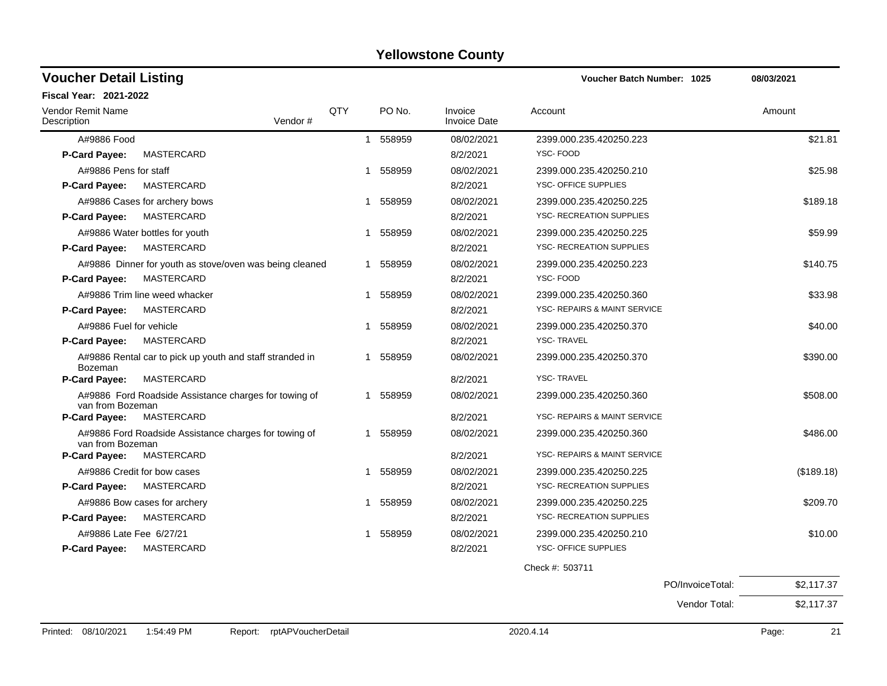| <b>Voucher Detail Listing</b>           |                                                          |     |              |                                | <b>Voucher Batch Number: 1025</b>       | 08/03/2021 |
|-----------------------------------------|----------------------------------------------------------|-----|--------------|--------------------------------|-----------------------------------------|------------|
| Fiscal Year: 2021-2022                  |                                                          |     |              |                                |                                         |            |
| <b>Vendor Remit Name</b><br>Description | Vendor#                                                  | QTY | PO No.       | Invoice<br><b>Invoice Date</b> | Account                                 | Amount     |
| A#9886 Food                             |                                                          |     | 1 558959     | 08/02/2021                     | 2399.000.235.420250.223                 | \$21.81    |
| P-Card Payee:                           | MASTERCARD                                               |     |              | 8/2/2021                       | YSC-FOOD                                |            |
| A#9886 Pens for staff                   |                                                          |     | 1 558959     | 08/02/2021                     | 2399.000.235.420250.210                 | \$25.98    |
| <b>P-Card Payee:</b>                    | MASTERCARD                                               |     |              | 8/2/2021                       | <b>YSC- OFFICE SUPPLIES</b>             |            |
| A#9886 Cases for archery bows           |                                                          |     | 558959<br>1  | 08/02/2021                     | 2399.000.235.420250.225                 | \$189.18   |
| <b>P-Card Payee:</b>                    | MASTERCARD                                               |     |              | 8/2/2021                       | YSC- RECREATION SUPPLIES                |            |
| A#9886 Water bottles for youth          |                                                          |     | 558959<br>1  | 08/02/2021                     | 2399.000.235.420250.225                 | \$59.99    |
| P-Card Payee:                           | <b>MASTERCARD</b>                                        |     |              | 8/2/2021                       | <b>YSC- RECREATION SUPPLIES</b>         |            |
|                                         | A#9886 Dinner for youth as stove/oven was being cleaned  |     | 558959<br>1  | 08/02/2021                     | 2399.000.235.420250.223                 | \$140.75   |
| <b>P-Card Payee:</b>                    | MASTERCARD                                               |     |              | 8/2/2021                       | YSC-FOOD                                |            |
| A#9886 Trim line weed whacker           |                                                          |     | 558959<br>1  | 08/02/2021                     | 2399.000.235.420250.360                 | \$33.98    |
| <b>P-Card Payee:</b>                    | MASTERCARD                                               |     |              | 8/2/2021                       | YSC- REPAIRS & MAINT SERVICE            |            |
| A#9886 Fuel for vehicle                 |                                                          |     | 558959<br>1  | 08/02/2021                     | 2399.000.235.420250.370                 | \$40.00    |
| <b>P-Card Payee:</b>                    | MASTERCARD                                               |     |              | 8/2/2021                       | <b>YSC-TRAVEL</b>                       |            |
| <b>Bozeman</b>                          | A#9886 Rental car to pick up youth and staff stranded in |     | 558959       | 08/02/2021                     | 2399.000.235.420250.370                 | \$390.00   |
| P-Card Payee:                           | MASTERCARD                                               |     |              | 8/2/2021                       | <b>YSC-TRAVEL</b>                       |            |
| van from Bozeman                        | A#9886 Ford Roadside Assistance charges for towing of    |     | 1 558959     | 08/02/2021                     | 2399.000.235.420250.360                 | \$508.00   |
| P-Card Payee:                           | MASTERCARD                                               |     |              | 8/2/2021                       | YSC- REPAIRS & MAINT SERVICE            |            |
| van from Bozeman                        | A#9886 Ford Roadside Assistance charges for towing of    |     | 558959<br>1  | 08/02/2021                     | 2399.000.235.420250.360                 | \$486.00   |
| <b>P-Card Payee:</b>                    | MASTERCARD                                               |     |              | 8/2/2021                       | <b>YSC- REPAIRS &amp; MAINT SERVICE</b> |            |
| A#9886 Credit for bow cases             |                                                          |     | 558959<br>1  | 08/02/2021                     | 2399.000.235.420250.225                 | (\$189.18) |
| P-Card Payee:                           | MASTERCARD                                               |     |              | 8/2/2021                       | <b>YSC- RECREATION SUPPLIES</b>         |            |
| A#9886 Bow cases for archery            |                                                          |     | 558959<br>1. | 08/02/2021                     | 2399.000.235.420250.225                 | \$209.70   |
| <b>P-Card Payee:</b>                    | <b>MASTERCARD</b>                                        |     |              | 8/2/2021                       | <b>YSC- RECREATION SUPPLIES</b>         |            |
| A#9886 Late Fee 6/27/21                 |                                                          |     | 1 558959     | 08/02/2021                     | 2399.000.235.420250.210                 | \$10.00    |
| <b>P-Card Payee:</b>                    | MASTERCARD                                               |     |              | 8/2/2021                       | <b>YSC- OFFICE SUPPLIES</b>             |            |
|                                         |                                                          |     |              |                                | Check #: 503711                         |            |
|                                         |                                                          |     |              |                                | PO/InvoiceTotal:                        | \$2,117.37 |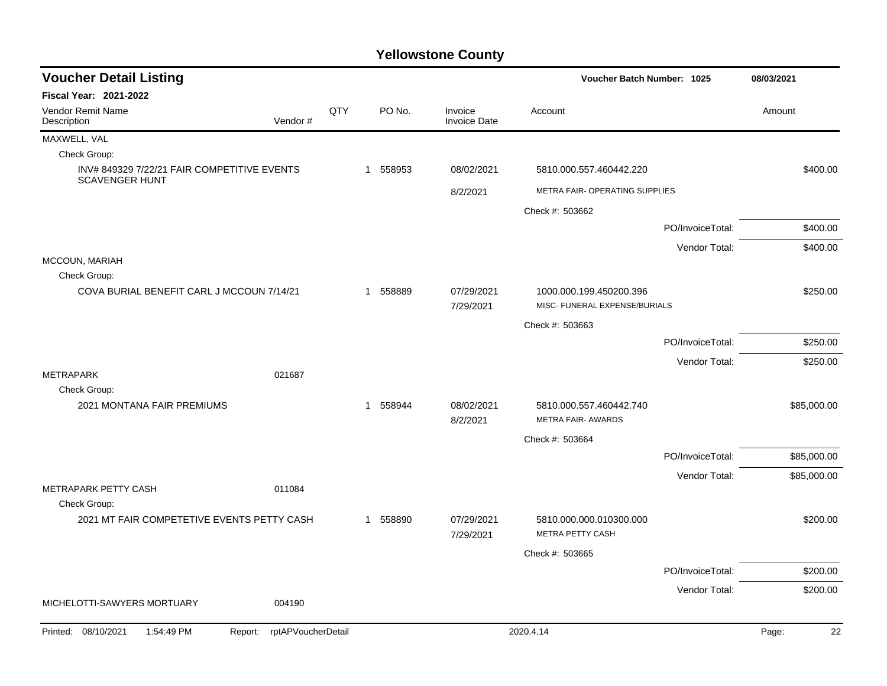| <b>Voucher Detail Listing</b>                                        |                    |     |             |                                | Voucher Batch Number: 1025                               |                  | 08/03/2021  |
|----------------------------------------------------------------------|--------------------|-----|-------------|--------------------------------|----------------------------------------------------------|------------------|-------------|
| <b>Fiscal Year: 2021-2022</b>                                        |                    |     |             |                                |                                                          |                  |             |
| <b>Vendor Remit Name</b><br>Description                              | Vendor#            | QTY | PO No.      | Invoice<br><b>Invoice Date</b> | Account                                                  |                  | Amount      |
| MAXWELL, VAL                                                         |                    |     |             |                                |                                                          |                  |             |
| Check Group:                                                         |                    |     |             |                                |                                                          |                  |             |
| INV# 849329 7/22/21 FAIR COMPETITIVE EVENTS<br><b>SCAVENGER HUNT</b> |                    |     | 558953<br>1 | 08/02/2021                     | 5810.000.557.460442.220                                  |                  | \$400.00    |
|                                                                      |                    |     |             | 8/2/2021                       | METRA FAIR- OPERATING SUPPLIES                           |                  |             |
|                                                                      |                    |     |             |                                | Check #: 503662                                          |                  |             |
|                                                                      |                    |     |             |                                |                                                          | PO/InvoiceTotal: | \$400.00    |
|                                                                      |                    |     |             |                                |                                                          | Vendor Total:    | \$400.00    |
| MCCOUN, MARIAH                                                       |                    |     |             |                                |                                                          |                  |             |
| Check Group:                                                         |                    |     |             |                                |                                                          |                  |             |
| COVA BURIAL BENEFIT CARL J MCCOUN 7/14/21                            |                    |     | 1 558889    | 07/29/2021<br>7/29/2021        | 1000.000.199.450200.396<br>MISC- FUNERAL EXPENSE/BURIALS |                  | \$250.00    |
|                                                                      |                    |     |             |                                | Check #: 503663                                          |                  |             |
|                                                                      |                    |     |             |                                |                                                          | PO/InvoiceTotal: | \$250.00    |
|                                                                      |                    |     |             |                                |                                                          | Vendor Total:    | \$250.00    |
| METRAPARK                                                            | 021687             |     |             |                                |                                                          |                  |             |
| Check Group:                                                         |                    |     |             |                                |                                                          |                  |             |
| 2021 MONTANA FAIR PREMIUMS                                           |                    |     | 1 558944    | 08/02/2021<br>8/2/2021         | 5810.000.557.460442.740<br>METRA FAIR- AWARDS            |                  | \$85,000.00 |
|                                                                      |                    |     |             |                                | Check #: 503664                                          |                  |             |
|                                                                      |                    |     |             |                                |                                                          | PO/InvoiceTotal: | \$85,000.00 |
|                                                                      |                    |     |             |                                |                                                          | Vendor Total:    | \$85,000.00 |
| METRAPARK PETTY CASH                                                 | 011084             |     |             |                                |                                                          |                  |             |
| Check Group:                                                         |                    |     |             |                                |                                                          |                  |             |
| 2021 MT FAIR COMPETETIVE EVENTS PETTY CASH                           |                    |     | 1 558890    | 07/29/2021<br>7/29/2021        | 5810.000.000.010300.000<br>METRA PETTY CASH              |                  | \$200.00    |
|                                                                      |                    |     |             |                                | Check #: 503665                                          |                  |             |
|                                                                      |                    |     |             |                                |                                                          | PO/InvoiceTotal: | \$200.00    |
|                                                                      |                    |     |             |                                |                                                          | Vendor Total:    | \$200.00    |
| MICHELOTTI-SAWYERS MORTUARY                                          | 004190             |     |             |                                |                                                          |                  |             |
| Printed: 08/10/2021<br>1:54:49 PM<br>Report:                         | rptAPVoucherDetail |     |             |                                | 2020.4.14                                                |                  | 22<br>Page: |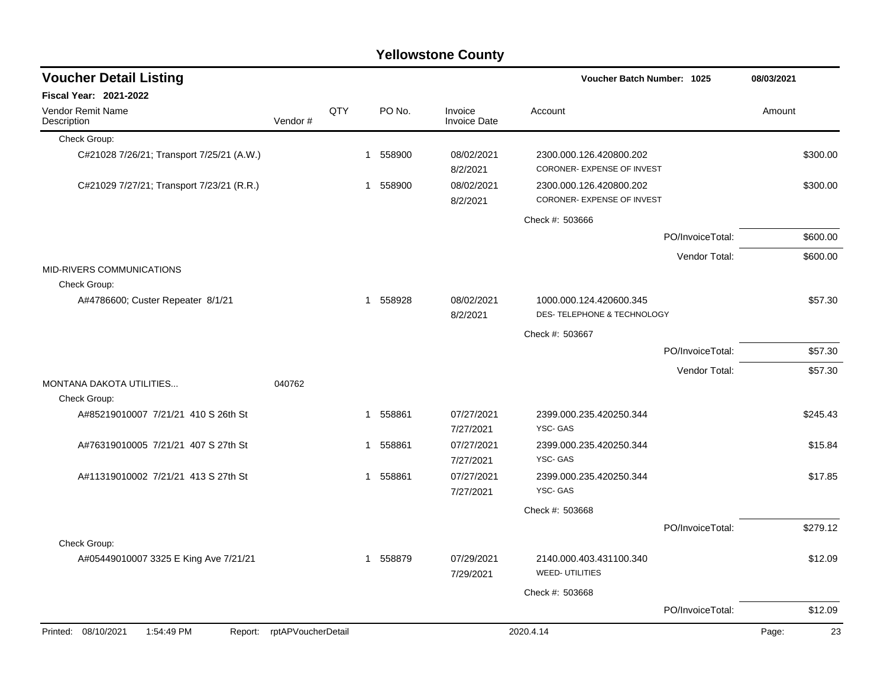| <b>Voucher Detail Listing</b>                |                    |     |                        |                                | Voucher Batch Number: 1025                                       |                  | 08/03/2021  |
|----------------------------------------------|--------------------|-----|------------------------|--------------------------------|------------------------------------------------------------------|------------------|-------------|
| Fiscal Year: 2021-2022                       |                    |     |                        |                                |                                                                  |                  |             |
| <b>Vendor Remit Name</b><br>Description      | Vendor#            | QTY | PO No.                 | Invoice<br><b>Invoice Date</b> | Account                                                          |                  | Amount      |
| Check Group:                                 |                    |     |                        |                                |                                                                  |                  |             |
| C#21028 7/26/21; Transport 7/25/21 (A.W.)    |                    |     | 1 558900               | 08/02/2021<br>8/2/2021         | 2300.000.126.420800.202<br>CORONER- EXPENSE OF INVEST            |                  | \$300.00    |
| C#21029 7/27/21; Transport 7/23/21 (R.R.)    |                    |     | 1 558900               | 08/02/2021<br>8/2/2021         | 2300.000.126.420800.202<br>CORONER- EXPENSE OF INVEST            |                  | \$300.00    |
|                                              |                    |     |                        |                                | Check #: 503666                                                  |                  |             |
|                                              |                    |     |                        |                                |                                                                  | PO/InvoiceTotal: | \$600.00    |
|                                              |                    |     |                        |                                |                                                                  | Vendor Total:    | \$600.00    |
| <b>MID-RIVERS COMMUNICATIONS</b>             |                    |     |                        |                                |                                                                  |                  |             |
| Check Group:                                 |                    |     |                        |                                |                                                                  |                  |             |
| A#4786600; Custer Repeater 8/1/21            |                    |     | 558928<br>$\mathbf{1}$ | 08/02/2021<br>8/2/2021         | 1000.000.124.420600.345<br><b>DES-TELEPHONE &amp; TECHNOLOGY</b> |                  | \$57.30     |
|                                              |                    |     |                        |                                | Check #: 503667                                                  |                  |             |
|                                              |                    |     |                        |                                |                                                                  | PO/InvoiceTotal: | \$57.30     |
|                                              |                    |     |                        |                                |                                                                  |                  |             |
| MONTANA DAKOTA UTILITIES<br>Check Group:     | 040762             |     |                        |                                |                                                                  | Vendor Total:    | \$57.30     |
| A#85219010007 7/21/21 410 S 26th St          |                    |     | 558861<br>$\mathbf{1}$ | 07/27/2021<br>7/27/2021        | 2399.000.235.420250.344<br>YSC-GAS                               |                  | \$245.43    |
| A#76319010005 7/21/21 407 S 27th St          |                    |     | 558861<br>1            | 07/27/2021<br>7/27/2021        | 2399.000.235.420250.344<br>YSC-GAS                               |                  | \$15.84     |
| A#11319010002 7/21/21 413 S 27th St          |                    |     | 558861<br>$\mathbf{1}$ | 07/27/2021<br>7/27/2021        | 2399.000.235.420250.344<br>YSC-GAS                               |                  | \$17.85     |
|                                              |                    |     |                        |                                | Check #: 503668                                                  |                  |             |
|                                              |                    |     |                        |                                |                                                                  | PO/InvoiceTotal: | \$279.12    |
| Check Group:                                 |                    |     |                        |                                |                                                                  |                  |             |
| A#05449010007 3325 E King Ave 7/21/21        |                    |     | 1 558879               | 07/29/2021<br>7/29/2021        | 2140.000.403.431100.340<br><b>WEED- UTILITIES</b>                |                  | \$12.09     |
|                                              |                    |     |                        |                                | Check #: 503668                                                  |                  |             |
|                                              |                    |     |                        |                                |                                                                  | PO/InvoiceTotal: | \$12.09     |
| Printed: 08/10/2021<br>1:54:49 PM<br>Report: | rptAPVoucherDetail |     |                        |                                | 2020.4.14                                                        |                  | 23<br>Page: |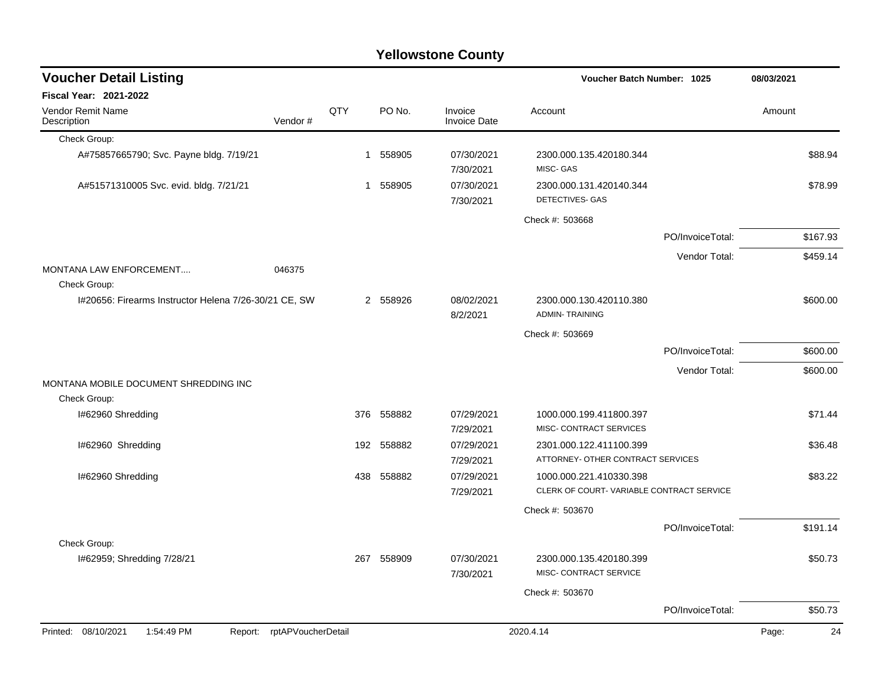| <b>Voucher Detail Listing</b>                                      |              |            |                                | <b>Voucher Batch Number: 1025</b>                                   |                  | 08/03/2021  |
|--------------------------------------------------------------------|--------------|------------|--------------------------------|---------------------------------------------------------------------|------------------|-------------|
| <b>Fiscal Year: 2021-2022</b>                                      |              |            |                                |                                                                     |                  |             |
| Vendor Remit Name<br>Vendor#<br>Description                        | QTY          | PO No.     | Invoice<br><b>Invoice Date</b> | Account                                                             |                  | Amount      |
| Check Group:                                                       |              |            |                                |                                                                     |                  |             |
| A#75857665790; Svc. Payne bldg. 7/19/21                            | $\mathbf{1}$ | 558905     | 07/30/2021<br>7/30/2021        | 2300.000.135.420180.344<br>MISC- GAS                                |                  | \$88.94     |
| A#51571310005 Svc. evid. bldg. 7/21/21                             |              | 1 558905   | 07/30/2021<br>7/30/2021        | 2300.000.131.420140.344<br><b>DETECTIVES- GAS</b>                   |                  | \$78.99     |
|                                                                    |              |            |                                | Check #: 503668                                                     |                  |             |
|                                                                    |              |            |                                |                                                                     | PO/InvoiceTotal: | \$167.93    |
|                                                                    |              |            |                                |                                                                     | Vendor Total:    | \$459.14    |
| <b>MONTANA LAW ENFORCEMENT</b><br>046375<br>Check Group:           |              |            |                                |                                                                     |                  |             |
| I#20656: Firearms Instructor Helena 7/26-30/21 CE, SW              |              | 2 558926   | 08/02/2021<br>8/2/2021         | 2300.000.130.420110.380<br><b>ADMIN-TRAINING</b>                    |                  | \$600.00    |
|                                                                    |              |            |                                | Check #: 503669                                                     |                  |             |
|                                                                    |              |            |                                |                                                                     | PO/InvoiceTotal: | \$600.00    |
|                                                                    |              |            |                                |                                                                     | Vendor Total:    | \$600.00    |
| MONTANA MOBILE DOCUMENT SHREDDING INC                              |              |            |                                |                                                                     |                  |             |
| Check Group:                                                       |              |            |                                |                                                                     |                  |             |
| I#62960 Shredding                                                  | 376          | 558882     | 07/29/2021<br>7/29/2021        | 1000.000.199.411800.397<br>MISC- CONTRACT SERVICES                  |                  | \$71.44     |
| I#62960 Shredding                                                  |              | 192 558882 | 07/29/2021                     | 2301.000.122.411100.399                                             |                  | \$36.48     |
|                                                                    |              |            | 7/29/2021                      | ATTORNEY- OTHER CONTRACT SERVICES                                   |                  |             |
| I#62960 Shredding                                                  | 438          | 558882     | 07/29/2021<br>7/29/2021        | 1000.000.221.410330.398<br>CLERK OF COURT-VARIABLE CONTRACT SERVICE |                  | \$83.22     |
|                                                                    |              |            |                                | Check #: 503670                                                     |                  |             |
|                                                                    |              |            |                                |                                                                     | PO/InvoiceTotal: | \$191.14    |
| Check Group:                                                       |              |            |                                |                                                                     |                  |             |
| I#62959; Shredding 7/28/21                                         | 267          | 558909     | 07/30/2021<br>7/30/2021        | 2300.000.135.420180.399<br>MISC- CONTRACT SERVICE                   |                  | \$50.73     |
|                                                                    |              |            |                                | Check #: 503670                                                     |                  |             |
|                                                                    |              |            |                                |                                                                     | PO/InvoiceTotal: | \$50.73     |
| Printed: 08/10/2021<br>1:54:49 PM<br>rptAPVoucherDetail<br>Report: |              |            |                                | 2020.4.14                                                           |                  | 24<br>Page: |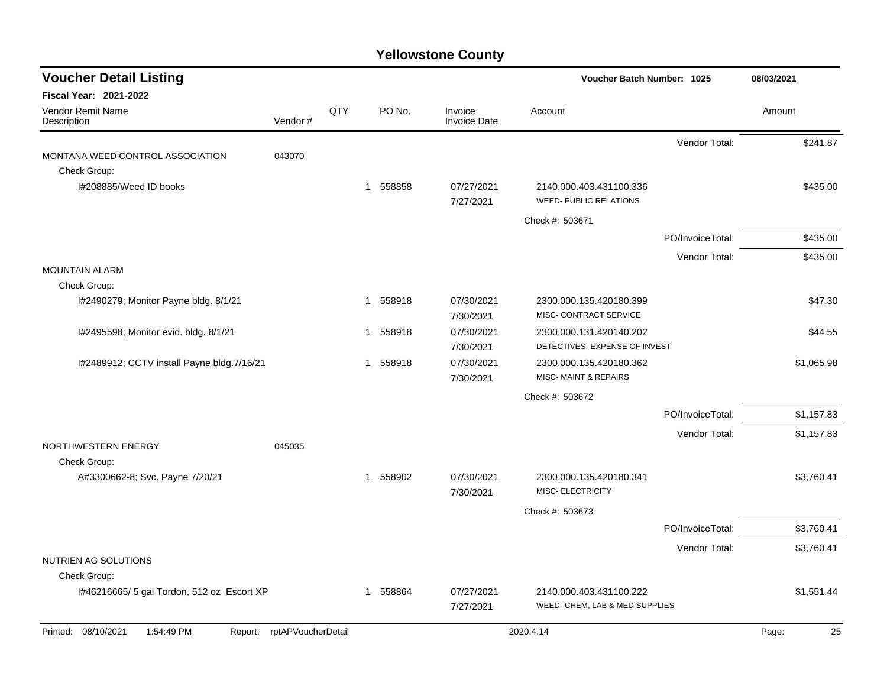| <b>Voucher Detail Listing</b>                |                    |     |                        |                                | <b>Voucher Batch Number: 1025</b>                         |                  | 08/03/2021  |
|----------------------------------------------|--------------------|-----|------------------------|--------------------------------|-----------------------------------------------------------|------------------|-------------|
| <b>Fiscal Year: 2021-2022</b>                |                    |     |                        |                                |                                                           |                  |             |
| Vendor Remit Name<br>Description             | Vendor#            | QTY | PO No.                 | Invoice<br><b>Invoice Date</b> | Account                                                   |                  | Amount      |
|                                              |                    |     |                        |                                |                                                           | Vendor Total:    | \$241.87    |
| MONTANA WEED CONTROL ASSOCIATION             | 043070             |     |                        |                                |                                                           |                  |             |
| Check Group:                                 |                    |     |                        |                                |                                                           |                  |             |
| I#208885/Weed ID books                       |                    |     | 1 558858               | 07/27/2021                     | 2140.000.403.431100.336<br><b>WEED- PUBLIC RELATIONS</b>  |                  | \$435.00    |
|                                              |                    |     |                        | 7/27/2021                      |                                                           |                  |             |
|                                              |                    |     |                        |                                | Check #: 503671                                           |                  |             |
|                                              |                    |     |                        |                                |                                                           | PO/InvoiceTotal: | \$435.00    |
|                                              |                    |     |                        |                                |                                                           | Vendor Total:    | \$435.00    |
| <b>MOUNTAIN ALARM</b><br>Check Group:        |                    |     |                        |                                |                                                           |                  |             |
| I#2490279; Monitor Payne bldg. 8/1/21        |                    |     | 558918<br>1            | 07/30/2021                     | 2300.000.135.420180.399                                   |                  | \$47.30     |
|                                              |                    |     |                        | 7/30/2021                      | MISC- CONTRACT SERVICE                                    |                  |             |
| I#2495598; Monitor evid. bldg. 8/1/21        |                    |     | 558918<br>1            | 07/30/2021                     | 2300.000.131.420140.202                                   |                  | \$44.55     |
|                                              |                    |     |                        | 7/30/2021                      | DETECTIVES- EXPENSE OF INVEST                             |                  |             |
| I#2489912; CCTV install Payne bldg.7/16/21   |                    |     | 558918<br>1            | 07/30/2021                     | 2300.000.135.420180.362                                   |                  | \$1,065.98  |
|                                              |                    |     |                        | 7/30/2021                      | <b>MISC- MAINT &amp; REPAIRS</b>                          |                  |             |
|                                              |                    |     |                        |                                | Check #: 503672                                           |                  |             |
|                                              |                    |     |                        |                                |                                                           | PO/InvoiceTotal: | \$1,157.83  |
|                                              |                    |     |                        |                                |                                                           | Vendor Total:    | \$1,157.83  |
| NORTHWESTERN ENERGY                          | 045035             |     |                        |                                |                                                           |                  |             |
| Check Group:                                 |                    |     |                        |                                |                                                           |                  |             |
| A#3300662-8; Svc. Payne 7/20/21              |                    |     | 558902<br>$\mathbf{1}$ | 07/30/2021                     | 2300.000.135.420180.341                                   |                  | \$3,760.41  |
|                                              |                    |     |                        | 7/30/2021                      | <b>MISC- ELECTRICITY</b>                                  |                  |             |
|                                              |                    |     |                        |                                | Check #: 503673                                           |                  |             |
|                                              |                    |     |                        |                                |                                                           | PO/InvoiceTotal: | \$3,760.41  |
|                                              |                    |     |                        |                                |                                                           | Vendor Total:    | \$3,760.41  |
| NUTRIEN AG SOLUTIONS                         |                    |     |                        |                                |                                                           |                  |             |
| Check Group:                                 |                    |     |                        |                                |                                                           |                  |             |
| I#46216665/ 5 gal Tordon, 512 oz Escort XP   |                    |     | 558864<br>1            | 07/27/2021                     | 2140.000.403.431100.222<br>WEED- CHEM, LAB & MED SUPPLIES |                  | \$1,551.44  |
|                                              |                    |     |                        | 7/27/2021                      |                                                           |                  |             |
| Printed: 08/10/2021<br>1:54:49 PM<br>Report: | rptAPVoucherDetail |     |                        |                                | 2020.4.14                                                 |                  | 25<br>Page: |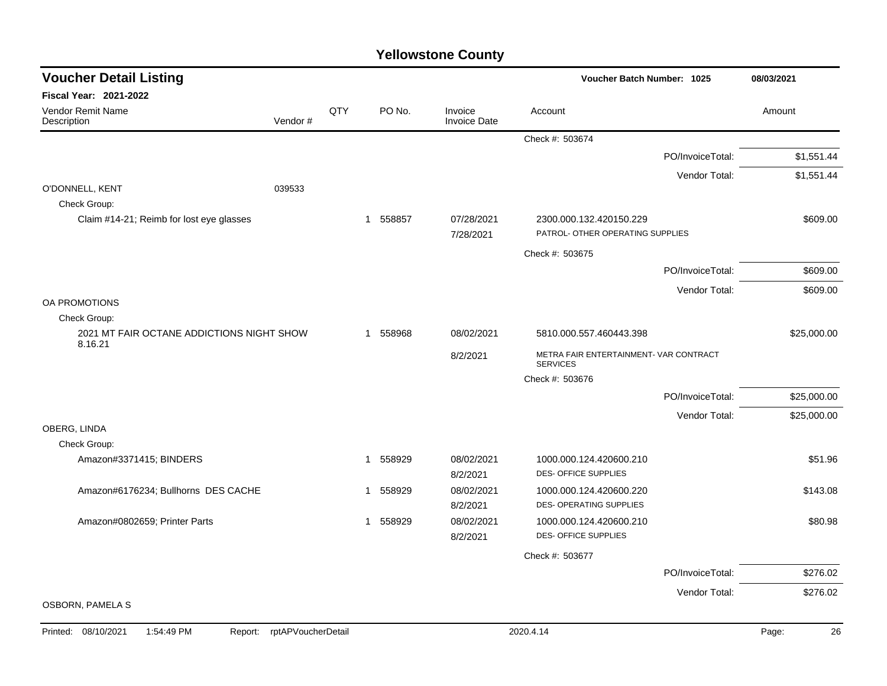| <b>Voucher Detail Listing</b>                        |         |     |             |                                | Voucher Batch Number: 1025                                  |                  | 08/03/2021  |
|------------------------------------------------------|---------|-----|-------------|--------------------------------|-------------------------------------------------------------|------------------|-------------|
| <b>Fiscal Year: 2021-2022</b>                        |         |     |             |                                |                                                             |                  |             |
| Vendor Remit Name<br>Description                     | Vendor# | QTY | PO No.      | Invoice<br><b>Invoice Date</b> | Account                                                     |                  | Amount      |
|                                                      |         |     |             |                                | Check #: 503674                                             |                  |             |
|                                                      |         |     |             |                                |                                                             | PO/InvoiceTotal: | \$1,551.44  |
|                                                      |         |     |             |                                |                                                             | Vendor Total:    | \$1,551.44  |
| O'DONNELL, KENT                                      | 039533  |     |             |                                |                                                             |                  |             |
| Check Group:                                         |         |     |             |                                |                                                             |                  |             |
| Claim #14-21; Reimb for lost eye glasses             |         |     | 558857<br>1 | 07/28/2021<br>7/28/2021        | 2300.000.132.420150.229<br>PATROL- OTHER OPERATING SUPPLIES |                  | \$609.00    |
|                                                      |         |     |             |                                | Check #: 503675                                             |                  |             |
|                                                      |         |     |             |                                |                                                             | PO/InvoiceTotal: | \$609.00    |
|                                                      |         |     |             |                                |                                                             | Vendor Total:    | \$609.00    |
| OA PROMOTIONS                                        |         |     |             |                                |                                                             |                  |             |
| Check Group:                                         |         |     |             |                                |                                                             |                  |             |
| 2021 MT FAIR OCTANE ADDICTIONS NIGHT SHOW<br>8.16.21 |         |     | 1 558968    | 08/02/2021                     | 5810.000.557.460443.398                                     |                  | \$25,000.00 |
|                                                      |         |     |             | 8/2/2021                       | METRA FAIR ENTERTAINMENT- VAR CONTRACT<br><b>SERVICES</b>   |                  |             |
|                                                      |         |     |             |                                | Check #: 503676                                             |                  |             |
|                                                      |         |     |             |                                |                                                             | PO/InvoiceTotal: | \$25,000.00 |
|                                                      |         |     |             |                                |                                                             | Vendor Total:    | \$25,000.00 |
| OBERG, LINDA                                         |         |     |             |                                |                                                             |                  |             |
| Check Group:                                         |         |     |             |                                |                                                             |                  |             |
| Amazon#3371415; BINDERS                              |         |     | 558929<br>1 | 08/02/2021<br>8/2/2021         | 1000.000.124.420600.210<br>DES-OFFICE SUPPLIES              |                  | \$51.96     |
| Amazon#6176234; Bullhorns DES CACHE                  |         |     | 558929<br>1 | 08/02/2021                     | 1000.000.124.420600.220                                     |                  | \$143.08    |
|                                                      |         |     |             | 8/2/2021                       | <b>DES- OPERATING SUPPLIES</b>                              |                  |             |
| Amazon#0802659; Printer Parts                        |         |     | 1 558929    | 08/02/2021                     | 1000.000.124.420600.210                                     |                  | \$80.98     |
|                                                      |         |     |             | 8/2/2021                       | <b>DES- OFFICE SUPPLIES</b>                                 |                  |             |
|                                                      |         |     |             |                                | Check #: 503677                                             |                  |             |
|                                                      |         |     |             |                                |                                                             | PO/InvoiceTotal: | \$276.02    |
|                                                      |         |     |             |                                |                                                             | Vendor Total:    | \$276.02    |
| <b>OSBORN, PAMELA S</b>                              |         |     |             |                                |                                                             |                  |             |

Printed: 08/10/2021 1:54:49 PM Report: rptAPVoucherDetail 2020.4.14 2020.4.14 2020.4.14 Page: 26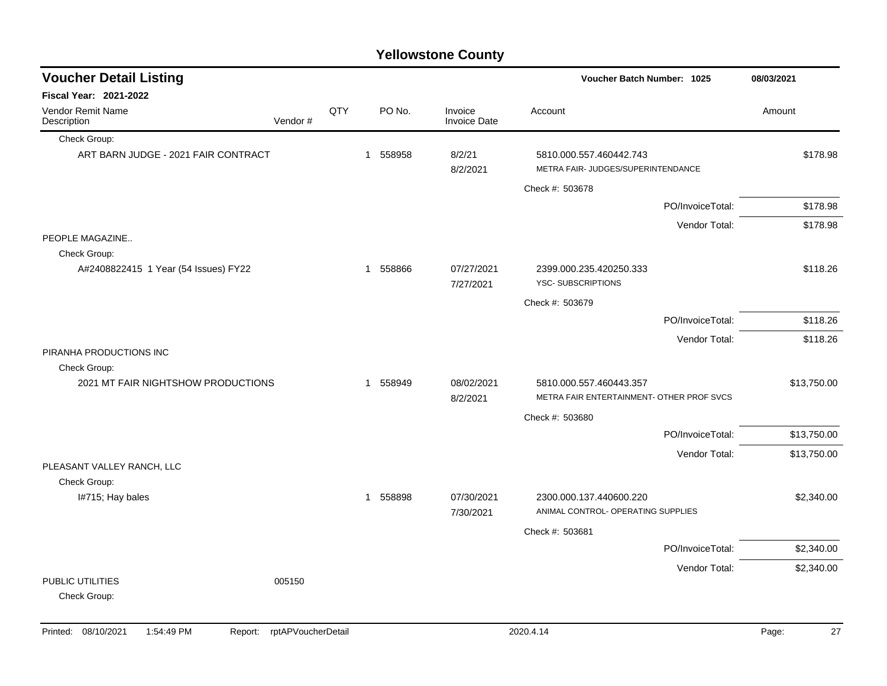| <b>Yellowstone County</b>                          |         |     |   |          |                                |                                                               |                  |             |  |
|----------------------------------------------------|---------|-----|---|----------|--------------------------------|---------------------------------------------------------------|------------------|-------------|--|
| <b>Voucher Detail Listing</b>                      |         |     |   |          |                                | <b>Voucher Batch Number: 1025</b>                             |                  | 08/03/2021  |  |
| <b>Fiscal Year: 2021-2022</b>                      |         |     |   |          |                                |                                                               |                  |             |  |
| Vendor Remit Name<br>Description                   | Vendor# | QTY |   | PO No.   | Invoice<br><b>Invoice Date</b> | Account                                                       |                  | Amount      |  |
| Check Group:                                       |         |     |   |          |                                |                                                               |                  |             |  |
| ART BARN JUDGE - 2021 FAIR CONTRACT                |         |     | 1 | 558958   | 8/2/21<br>8/2/2021             | 5810.000.557.460442.743<br>METRA FAIR- JUDGES/SUPERINTENDANCE |                  | \$178.98    |  |
|                                                    |         |     |   |          |                                | Check #: 503678                                               |                  |             |  |
|                                                    |         |     |   |          |                                |                                                               | PO/InvoiceTotal: | \$178.98    |  |
|                                                    |         |     |   |          |                                |                                                               | Vendor Total:    | \$178.98    |  |
| PEOPLE MAGAZINE                                    |         |     |   |          |                                |                                                               |                  |             |  |
| Check Group:                                       |         |     |   |          |                                |                                                               |                  |             |  |
| A#2408822415 1 Year (54 Issues) FY22               |         |     | 1 | 558866   | 07/27/2021<br>7/27/2021        | 2399.000.235.420250.333<br>YSC-SUBSCRIPTIONS                  |                  | \$118.26    |  |
|                                                    |         |     |   |          |                                | Check #: 503679                                               |                  |             |  |
|                                                    |         |     |   |          |                                |                                                               | PO/InvoiceTotal: | \$118.26    |  |
|                                                    |         |     |   |          |                                |                                                               | Vendor Total:    | \$118.26    |  |
| PIRANHA PRODUCTIONS INC                            |         |     |   |          |                                |                                                               |                  |             |  |
| Check Group:<br>2021 MT FAIR NIGHTSHOW PRODUCTIONS |         |     | 1 | 558949   | 08/02/2021                     | 5810.000.557.460443.357                                       |                  | \$13,750.00 |  |
|                                                    |         |     |   |          | 8/2/2021                       | METRA FAIR ENTERTAINMENT- OTHER PROF SVCS                     |                  |             |  |
|                                                    |         |     |   |          |                                | Check #: 503680                                               |                  |             |  |
|                                                    |         |     |   |          |                                |                                                               | PO/InvoiceTotal: | \$13,750.00 |  |
|                                                    |         |     |   |          |                                |                                                               | Vendor Total:    | \$13,750.00 |  |
| PLEASANT VALLEY RANCH, LLC                         |         |     |   |          |                                |                                                               |                  |             |  |
| Check Group:                                       |         |     |   |          |                                |                                                               |                  |             |  |
| I#715; Hay bales                                   |         |     |   | 1 558898 | 07/30/2021<br>7/30/2021        | 2300.000.137.440600.220<br>ANIMAL CONTROL- OPERATING SUPPLIES |                  | \$2,340.00  |  |
|                                                    |         |     |   |          |                                | Check #: 503681                                               |                  |             |  |
|                                                    |         |     |   |          |                                |                                                               | PO/InvoiceTotal: | \$2,340.00  |  |
|                                                    |         |     |   |          |                                |                                                               | Vendor Total:    | \$2,340.00  |  |
| PUBLIC UTILITIES<br>Check Group:                   | 005150  |     |   |          |                                |                                                               |                  |             |  |

Printed: 08/10/2021 1:54:49 PM Report: rptAPVoucherDetail 2020.4.14 2020.4.14 2020.4.14 Page: 27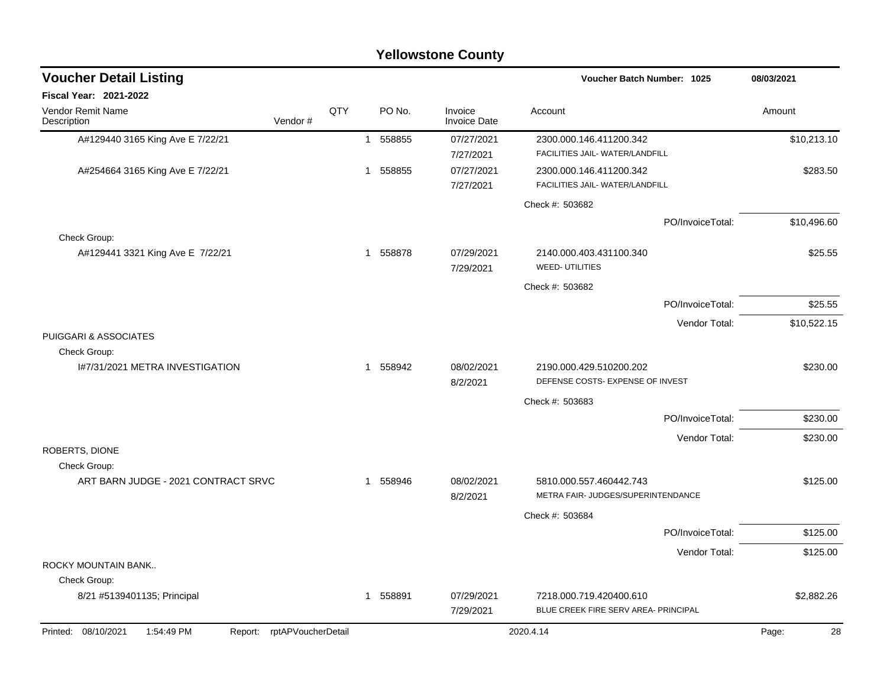| <b>Yellowstone County</b>                                          |     |             |                                |                                                                 |             |  |  |  |
|--------------------------------------------------------------------|-----|-------------|--------------------------------|-----------------------------------------------------------------|-------------|--|--|--|
| <b>Voucher Detail Listing</b>                                      |     |             |                                | <b>Voucher Batch Number: 1025</b>                               | 08/03/2021  |  |  |  |
| Fiscal Year: 2021-2022                                             |     |             |                                |                                                                 |             |  |  |  |
| Vendor Remit Name<br>Vendor#<br>Description                        | QTY | PO No.      | Invoice<br><b>Invoice Date</b> | Account                                                         | Amount      |  |  |  |
| A#129440 3165 King Ave E 7/22/21                                   |     | 1 558855    | 07/27/2021<br>7/27/2021        | 2300.000.146.411200.342<br>FACILITIES JAIL- WATER/LANDFILL      | \$10,213.10 |  |  |  |
| A#254664 3165 King Ave E 7/22/21                                   |     | 558855<br>1 | 07/27/2021<br>7/27/2021        | 2300.000.146.411200.342<br>FACILITIES JAIL- WATER/LANDFILL      | \$283.50    |  |  |  |
|                                                                    |     |             |                                | Check #: 503682                                                 |             |  |  |  |
|                                                                    |     |             |                                | PO/InvoiceTotal:                                                | \$10,496.60 |  |  |  |
| Check Group:                                                       |     |             |                                |                                                                 |             |  |  |  |
| A#129441 3321 King Ave E 7/22/21                                   |     | 558878<br>1 | 07/29/2021<br>7/29/2021        | 2140.000.403.431100.340<br><b>WEED- UTILITIES</b>               | \$25.55     |  |  |  |
|                                                                    |     |             |                                | Check #: 503682                                                 |             |  |  |  |
|                                                                    |     |             |                                | PO/InvoiceTotal:                                                | \$25.55     |  |  |  |
|                                                                    |     |             |                                | Vendor Total:                                                   | \$10,522.15 |  |  |  |
| PUIGGARI & ASSOCIATES                                              |     |             |                                |                                                                 |             |  |  |  |
| Check Group:<br>1#7/31/2021 METRA INVESTIGATION                    |     | 558942<br>1 | 08/02/2021<br>8/2/2021         | 2190.000.429.510200.202<br>DEFENSE COSTS- EXPENSE OF INVEST     | \$230.00    |  |  |  |
|                                                                    |     |             |                                | Check #: 503683                                                 |             |  |  |  |
|                                                                    |     |             |                                | PO/InvoiceTotal:                                                | \$230.00    |  |  |  |
|                                                                    |     |             |                                | Vendor Total:                                                   | \$230.00    |  |  |  |
| ROBERTS, DIONE                                                     |     |             |                                |                                                                 |             |  |  |  |
| Check Group:<br>ART BARN JUDGE - 2021 CONTRACT SRVC                |     | 558946<br>1 | 08/02/2021<br>8/2/2021         | 5810.000.557.460442.743<br>METRA FAIR- JUDGES/SUPERINTENDANCE   | \$125.00    |  |  |  |
|                                                                    |     |             |                                | Check #: 503684                                                 |             |  |  |  |
|                                                                    |     |             |                                | PO/InvoiceTotal:                                                | \$125.00    |  |  |  |
|                                                                    |     |             |                                | Vendor Total:                                                   | \$125.00    |  |  |  |
| ROCKY MOUNTAIN BANK                                                |     |             |                                |                                                                 |             |  |  |  |
| Check Group:                                                       |     |             |                                |                                                                 |             |  |  |  |
| 8/21 #5139401135; Principal                                        |     | 558891<br>1 | 07/29/2021<br>7/29/2021        | 7218.000.719.420400.610<br>BLUE CREEK FIRE SERV AREA- PRINCIPAL | \$2,882.26  |  |  |  |
| Printed: 08/10/2021<br>1:54:49 PM<br>rptAPVoucherDetail<br>Report: |     |             |                                | 2020.4.14                                                       | Page:<br>28 |  |  |  |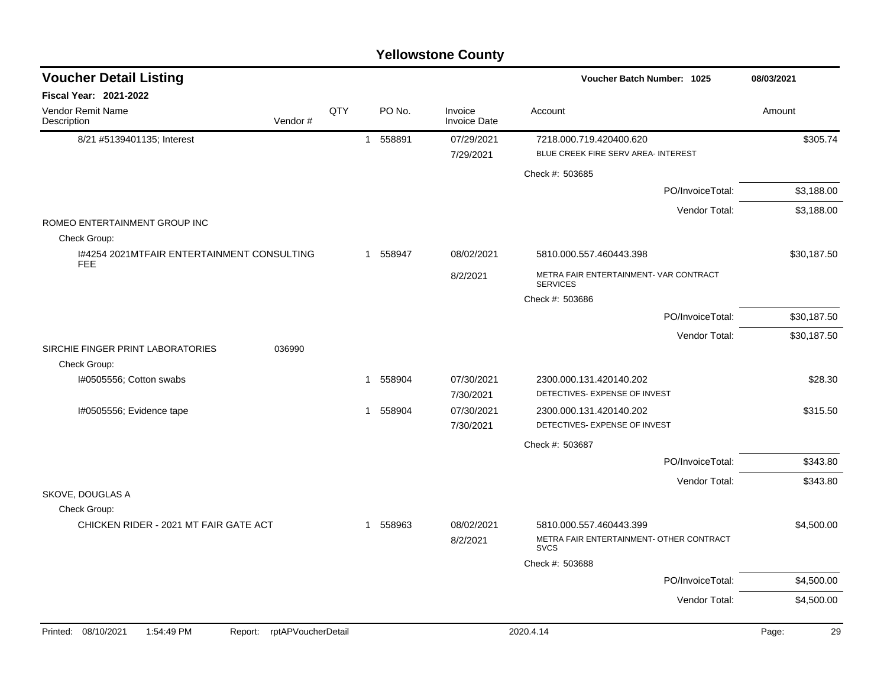| <b>Voucher Detail Listing</b>                                                                                                                                                                                                                                                                                                                                                                                 |         |     |          |                                | Voucher Batch Number: 1025                                                         | 08/03/2021         |
|---------------------------------------------------------------------------------------------------------------------------------------------------------------------------------------------------------------------------------------------------------------------------------------------------------------------------------------------------------------------------------------------------------------|---------|-----|----------|--------------------------------|------------------------------------------------------------------------------------|--------------------|
| <b>Fiscal Year: 2021-2022</b>                                                                                                                                                                                                                                                                                                                                                                                 |         |     |          |                                |                                                                                    |                    |
| <b>Vendor Remit Name</b><br>Description                                                                                                                                                                                                                                                                                                                                                                       | Vendor# | QTY | PO No.   | Invoice<br><b>Invoice Date</b> | Account                                                                            | Amount             |
| 8/21 #5139401135; Interest                                                                                                                                                                                                                                                                                                                                                                                    |         |     | 1 558891 | 07/29/2021<br>7/29/2021        | 7218.000.719.420400.620<br>BLUE CREEK FIRE SERV AREA- INTEREST                     | \$305.74           |
|                                                                                                                                                                                                                                                                                                                                                                                                               |         |     |          |                                | Check #: 503685                                                                    |                    |
|                                                                                                                                                                                                                                                                                                                                                                                                               |         |     |          |                                | PO/InvoiceTotal:                                                                   | \$3,188.00         |
|                                                                                                                                                                                                                                                                                                                                                                                                               |         |     |          |                                | Vendor Total:                                                                      | \$3,188.00         |
| ROMEO ENTERTAINMENT GROUP INC<br>Check Group:                                                                                                                                                                                                                                                                                                                                                                 |         |     |          |                                |                                                                                    |                    |
| 1#4254 2021 MTFAIR ENTERTAINMENT CONSULTING<br><b>FEE</b>                                                                                                                                                                                                                                                                                                                                                     |         |     | 1 558947 | 08/02/2021                     | 5810.000.557.460443.398                                                            | \$30,187.50        |
|                                                                                                                                                                                                                                                                                                                                                                                                               |         |     |          | 8/2/2021                       | METRA FAIR ENTERTAINMENT- VAR CONTRACT<br><b>SERVICES</b>                          |                    |
|                                                                                                                                                                                                                                                                                                                                                                                                               |         |     |          |                                | Check #: 503686                                                                    |                    |
|                                                                                                                                                                                                                                                                                                                                                                                                               |         |     |          |                                | PO/InvoiceTotal:                                                                   | \$30,187.50        |
|                                                                                                                                                                                                                                                                                                                                                                                                               |         |     |          |                                | Vendor Total:                                                                      | \$30,187.50        |
| SIRCHIE FINGER PRINT LABORATORIES<br>Check Group:                                                                                                                                                                                                                                                                                                                                                             | 036990  |     |          |                                |                                                                                    |                    |
| I#0505556; Cotton swabs                                                                                                                                                                                                                                                                                                                                                                                       |         |     | 1 558904 | 07/30/2021<br>7/30/2021        | 2300.000.131.420140.202<br>DETECTIVES- EXPENSE OF INVEST                           | \$28.30            |
| I#0505556; Evidence tape                                                                                                                                                                                                                                                                                                                                                                                      |         |     | 1 558904 | 07/30/2021<br>7/30/2021        | 2300.000.131.420140.202<br>DETECTIVES- EXPENSE OF INVEST                           | \$315.50           |
|                                                                                                                                                                                                                                                                                                                                                                                                               |         |     |          |                                | Check #: 503687                                                                    |                    |
|                                                                                                                                                                                                                                                                                                                                                                                                               |         |     |          |                                | PO/InvoiceTotal:                                                                   | \$343.80           |
|                                                                                                                                                                                                                                                                                                                                                                                                               |         |     |          |                                | Vendor Total:                                                                      | \$343.80           |
| SKOVE, DOUGLAS A<br>Check Group:                                                                                                                                                                                                                                                                                                                                                                              |         |     |          |                                |                                                                                    |                    |
| CHICKEN RIDER - 2021 MT FAIR GATE ACT                                                                                                                                                                                                                                                                                                                                                                         |         |     | 1 558963 | 08/02/2021<br>8/2/2021         | 5810.000.557.460443.399<br>METRA FAIR ENTERTAINMENT- OTHER CONTRACT<br><b>SVCS</b> | \$4,500.00         |
|                                                                                                                                                                                                                                                                                                                                                                                                               |         |     |          |                                | Check #: 503688                                                                    |                    |
|                                                                                                                                                                                                                                                                                                                                                                                                               |         |     |          |                                | PO/InvoiceTotal:                                                                   | \$4,500.00         |
|                                                                                                                                                                                                                                                                                                                                                                                                               |         |     |          |                                | Vendor Total:                                                                      | \$4,500.00         |
| $D_{\text{shock}}$ $A = 0.0400004$<br>$4.54.40$ DM<br>$D_{\text{max}} = \frac{1}{2} \left( \frac{1}{2} \sum_{i=1}^{n} \sum_{j=1}^{n} \sum_{j=1}^{n} \sum_{j=1}^{n} \sum_{j=1}^{n} \sum_{j=1}^{n} \sum_{j=1}^{n} \sum_{j=1}^{n} \sum_{j=1}^{n} \sum_{j=1}^{n} \sum_{j=1}^{n} \sum_{j=1}^{n} \sum_{j=1}^{n} \sum_{j=1}^{n} \sum_{j=1}^{n} \sum_{j=1}^{n} \sum_{j=1}^{n} \sum_{j=1}^{n} \sum_{j=1}^{n} \sum_{j=$ |         |     |          |                                | 0000111                                                                            | $D = 44$<br>$\sim$ |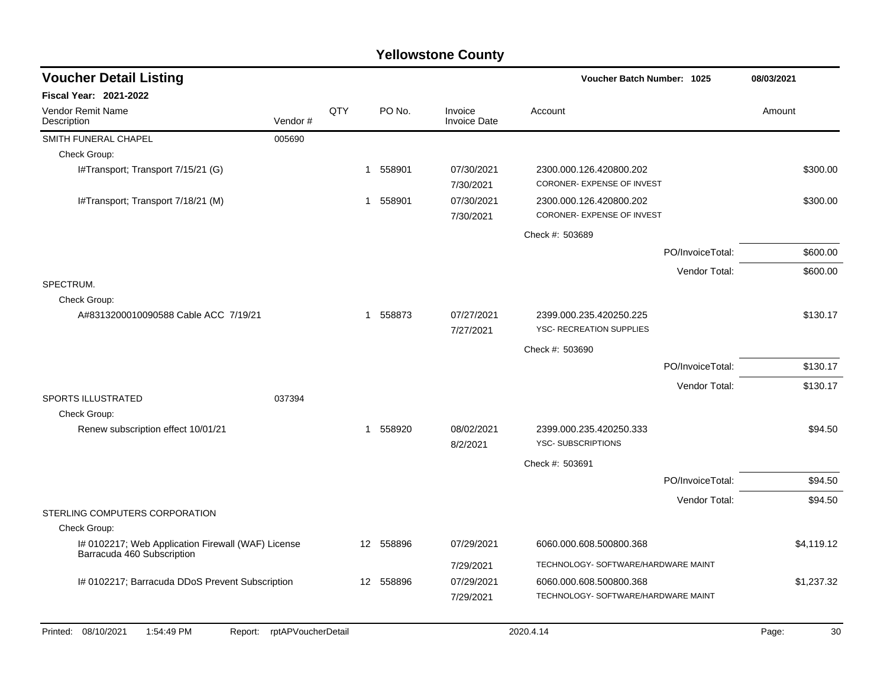| <b>Voucher Detail Listing</b>                                                    |                    |     |                        |                                | Voucher Batch Number: 1025                                 |                  | 08/03/2021  |
|----------------------------------------------------------------------------------|--------------------|-----|------------------------|--------------------------------|------------------------------------------------------------|------------------|-------------|
| Fiscal Year: 2021-2022                                                           |                    |     |                        |                                |                                                            |                  |             |
| Vendor Remit Name<br>Description                                                 | Vendor#            | QTY | PO No.                 | Invoice<br><b>Invoice Date</b> | Account                                                    |                  | Amount      |
| SMITH FUNERAL CHAPEL                                                             | 005690             |     |                        |                                |                                                            |                  |             |
| Check Group:                                                                     |                    |     |                        |                                |                                                            |                  |             |
| I#Transport; Transport 7/15/21 (G)                                               |                    |     | 1 558901               | 07/30/2021<br>7/30/2021        | 2300.000.126.420800.202<br>CORONER- EXPENSE OF INVEST      |                  | \$300.00    |
| I#Transport; Transport 7/18/21 (M)                                               |                    |     | 1 558901               | 07/30/2021<br>7/30/2021        | 2300.000.126.420800.202<br>CORONER- EXPENSE OF INVEST      |                  | \$300.00    |
|                                                                                  |                    |     |                        |                                | Check #: 503689                                            |                  |             |
|                                                                                  |                    |     |                        |                                |                                                            | PO/InvoiceTotal: | \$600.00    |
|                                                                                  |                    |     |                        |                                |                                                            | Vendor Total:    | \$600.00    |
| SPECTRUM.                                                                        |                    |     |                        |                                |                                                            |                  |             |
| Check Group:                                                                     |                    |     |                        |                                |                                                            |                  |             |
| A#8313200010090588 Cable ACC 7/19/21                                             |                    |     | 558873<br>$\mathbf{1}$ | 07/27/2021<br>7/27/2021        | 2399.000.235.420250.225<br><b>YSC- RECREATION SUPPLIES</b> |                  | \$130.17    |
|                                                                                  |                    |     |                        |                                | Check #: 503690                                            |                  |             |
|                                                                                  |                    |     |                        |                                |                                                            | PO/InvoiceTotal: | \$130.17    |
|                                                                                  |                    |     |                        |                                |                                                            | Vendor Total:    | \$130.17    |
| <b>SPORTS ILLUSTRATED</b>                                                        | 037394             |     |                        |                                |                                                            |                  |             |
| Check Group:                                                                     |                    |     |                        |                                |                                                            |                  |             |
| Renew subscription effect 10/01/21                                               |                    |     | 558920<br>$\mathbf 1$  | 08/02/2021<br>8/2/2021         | 2399.000.235.420250.333<br>YSC-SUBSCRIPTIONS               |                  | \$94.50     |
|                                                                                  |                    |     |                        |                                | Check #: 503691                                            |                  |             |
|                                                                                  |                    |     |                        |                                |                                                            | PO/InvoiceTotal: | \$94.50     |
|                                                                                  |                    |     |                        |                                |                                                            | Vendor Total:    | \$94.50     |
| STERLING COMPUTERS CORPORATION                                                   |                    |     |                        |                                |                                                            |                  |             |
| Check Group:                                                                     |                    |     |                        |                                |                                                            |                  |             |
| I# 0102217; Web Application Firewall (WAF) License<br>Barracuda 460 Subscription |                    |     | 12 558896              | 07/29/2021                     | 6060.000.608.500800.368                                    |                  | \$4,119.12  |
|                                                                                  |                    |     |                        | 7/29/2021                      | TECHNOLOGY- SOFTWARE/HARDWARE MAINT                        |                  |             |
| I# 0102217; Barracuda DDoS Prevent Subscription                                  |                    |     | 12 558896              | 07/29/2021                     | 6060.000.608.500800.368                                    |                  | \$1,237.32  |
|                                                                                  |                    |     |                        | 7/29/2021                      | TECHNOLOGY- SOFTWARE/HARDWARE MAINT                        |                  |             |
|                                                                                  |                    |     |                        |                                |                                                            |                  |             |
| 08/10/2021<br>1:54:49 PM<br>Printed:<br>Report:                                  | rptAPVoucherDetail |     |                        |                                | 2020.4.14                                                  |                  | Page:<br>30 |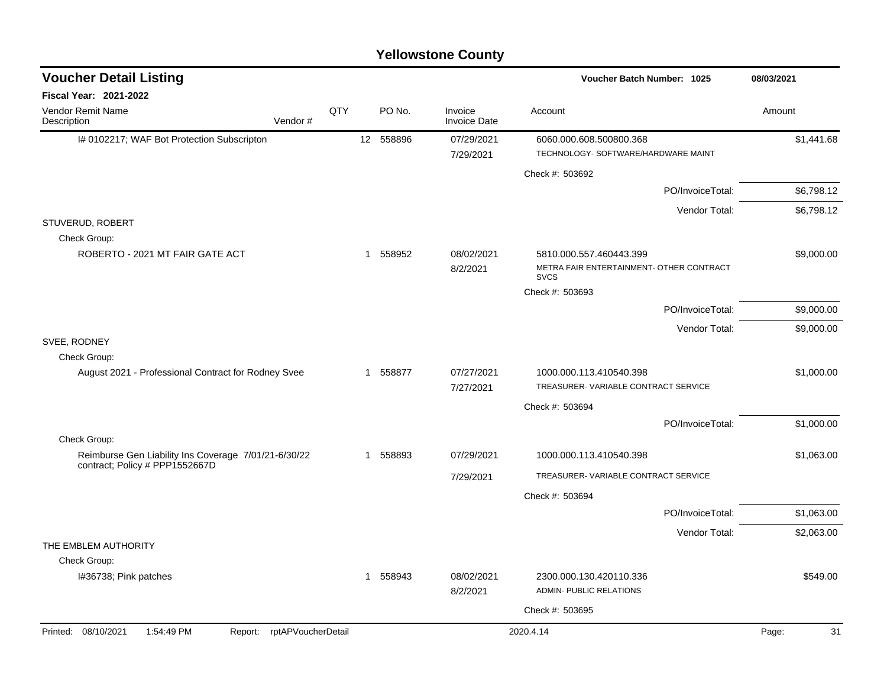| <b>Voucher Detail Listing</b>                                        |     |              |           |                                | Voucher Batch Number: 1025                              | 08/03/2021  |
|----------------------------------------------------------------------|-----|--------------|-----------|--------------------------------|---------------------------------------------------------|-------------|
| <b>Fiscal Year: 2021-2022</b>                                        |     |              |           |                                |                                                         |             |
| Vendor Remit Name<br>Vendor#<br>Description                          | QTY |              | PO No.    | Invoice<br><b>Invoice Date</b> | Account                                                 | Amount      |
| I# 0102217; WAF Bot Protection Subscripton                           |     |              | 12 558896 | 07/29/2021                     | 6060.000.608.500800.368                                 | \$1,441.68  |
|                                                                      |     |              |           | 7/29/2021                      | TECHNOLOGY- SOFTWARE/HARDWARE MAINT                     |             |
|                                                                      |     |              |           |                                | Check #: 503692                                         |             |
|                                                                      |     |              |           |                                | PO/InvoiceTotal:                                        | \$6,798.12  |
|                                                                      |     |              |           |                                | Vendor Total:                                           | \$6,798.12  |
| STUVERUD, ROBERT<br>Check Group:                                     |     |              |           |                                |                                                         |             |
| ROBERTO - 2021 MT FAIR GATE ACT                                      |     |              | 1 558952  | 08/02/2021                     | 5810.000.557.460443.399                                 | \$9,000.00  |
|                                                                      |     |              |           | 8/2/2021                       | METRA FAIR ENTERTAINMENT- OTHER CONTRACT<br><b>SVCS</b> |             |
|                                                                      |     |              |           |                                | Check #: 503693                                         |             |
|                                                                      |     |              |           |                                | PO/InvoiceTotal:                                        | \$9,000.00  |
|                                                                      |     |              |           |                                | Vendor Total:                                           | \$9,000.00  |
| SVEE, RODNEY                                                         |     |              |           |                                |                                                         |             |
| Check Group:<br>August 2021 - Professional Contract for Rodney Svee  |     |              | 1 558877  | 07/27/2021                     | 1000.000.113.410540.398                                 | \$1,000.00  |
|                                                                      |     |              |           | 7/27/2021                      | TREASURER-VARIABLE CONTRACT SERVICE                     |             |
|                                                                      |     |              |           |                                | Check #: 503694                                         |             |
|                                                                      |     |              |           |                                | PO/InvoiceTotal:                                        | \$1,000.00  |
| Check Group:<br>Reimburse Gen Liability Ins Coverage 7/01/21-6/30/22 |     | 1            | 558893    | 07/29/2021                     | 1000.000.113.410540.398                                 | \$1,063.00  |
| contract; Policy # PPP1552667D                                       |     |              |           | 7/29/2021                      | TREASURER-VARIABLE CONTRACT SERVICE                     |             |
|                                                                      |     |              |           |                                | Check #: 503694                                         |             |
|                                                                      |     |              |           |                                | PO/InvoiceTotal:                                        | \$1,063.00  |
|                                                                      |     |              |           |                                | Vendor Total:                                           | \$2,063.00  |
| THE EMBLEM AUTHORITY<br>Check Group:                                 |     |              |           |                                |                                                         |             |
| I#36738; Pink patches                                                |     | $\mathbf{1}$ | 558943    | 08/02/2021                     | 2300.000.130.420110.336                                 | \$549.00    |
|                                                                      |     |              |           | 8/2/2021                       | ADMIN- PUBLIC RELATIONS                                 |             |
|                                                                      |     |              |           |                                | Check #: 503695                                         |             |
| Printed: 08/10/2021<br>1:54:49 PM<br>rptAPVoucherDetail<br>Report:   |     |              |           |                                | 2020.4.14                                               | 31<br>Page: |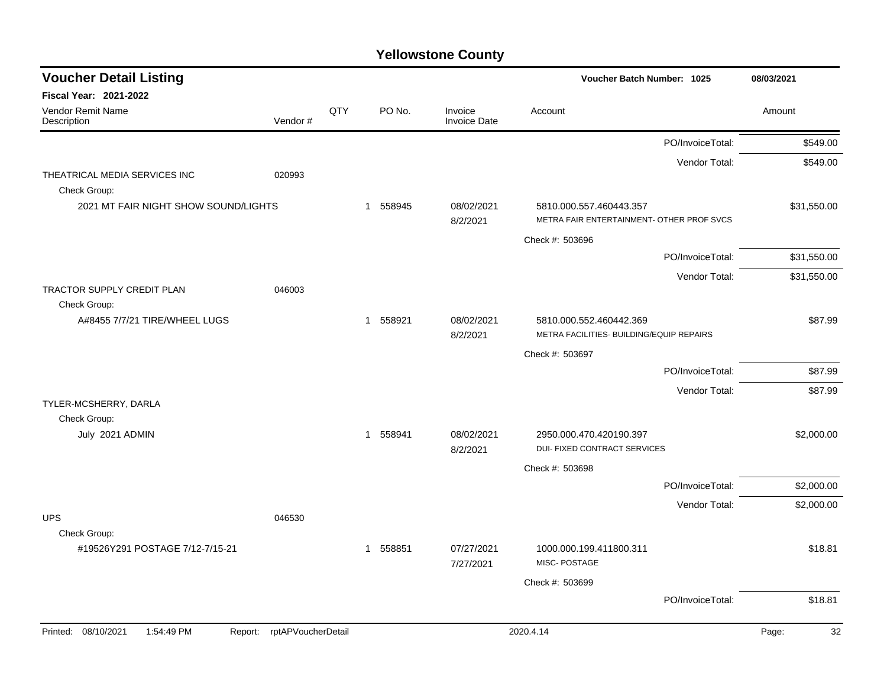| <b>Voucher Detail Listing</b>                        |                            |     |             |                                | Voucher Batch Number: 1025                              |                  | 08/03/2021  |
|------------------------------------------------------|----------------------------|-----|-------------|--------------------------------|---------------------------------------------------------|------------------|-------------|
| <b>Fiscal Year: 2021-2022</b>                        |                            |     |             |                                |                                                         |                  |             |
| Vendor Remit Name<br>Description                     | Vendor#                    | QTY | PO No.      | Invoice<br><b>Invoice Date</b> | Account                                                 |                  | Amount      |
|                                                      |                            |     |             |                                |                                                         | PO/InvoiceTotal: | \$549.00    |
|                                                      |                            |     |             |                                |                                                         | Vendor Total:    | \$549.00    |
| THEATRICAL MEDIA SERVICES INC                        | 020993                     |     |             |                                |                                                         |                  |             |
| Check Group:<br>2021 MT FAIR NIGHT SHOW SOUND/LIGHTS |                            |     | 1 558945    | 08/02/2021                     | 5810.000.557.460443.357                                 |                  | \$31,550.00 |
|                                                      |                            |     |             | 8/2/2021                       | METRA FAIR ENTERTAINMENT- OTHER PROF SVCS               |                  |             |
|                                                      |                            |     |             |                                | Check #: 503696                                         |                  |             |
|                                                      |                            |     |             |                                |                                                         | PO/InvoiceTotal: | \$31,550.00 |
|                                                      |                            |     |             |                                |                                                         | Vendor Total:    | \$31,550.00 |
| TRACTOR SUPPLY CREDIT PLAN                           | 046003                     |     |             |                                |                                                         |                  |             |
| Check Group:<br>A#8455 7/7/21 TIRE/WHEEL LUGS        |                            |     | 558921<br>1 | 08/02/2021                     | 5810.000.552.460442.369                                 |                  | \$87.99     |
|                                                      |                            |     |             | 8/2/2021                       | METRA FACILITIES- BUILDING/EQUIP REPAIRS                |                  |             |
|                                                      |                            |     |             |                                | Check #: 503697                                         |                  |             |
|                                                      |                            |     |             |                                |                                                         | PO/InvoiceTotal: | \$87.99     |
|                                                      |                            |     |             |                                |                                                         | Vendor Total:    | \$87.99     |
| TYLER-MCSHERRY, DARLA                                |                            |     |             |                                |                                                         |                  |             |
| Check Group:                                         |                            |     |             |                                |                                                         |                  |             |
| July 2021 ADMIN                                      |                            |     | 1 558941    | 08/02/2021<br>8/2/2021         | 2950.000.470.420190.397<br>DUI- FIXED CONTRACT SERVICES |                  | \$2,000.00  |
|                                                      |                            |     |             |                                | Check #: 503698                                         |                  |             |
|                                                      |                            |     |             |                                |                                                         | PO/InvoiceTotal: | \$2,000.00  |
|                                                      |                            |     |             |                                |                                                         | Vendor Total:    | \$2,000.00  |
| <b>UPS</b>                                           | 046530                     |     |             |                                |                                                         |                  |             |
| Check Group:                                         |                            |     |             |                                |                                                         |                  |             |
| #19526Y291 POSTAGE 7/12-7/15-21                      |                            |     | 1 558851    | 07/27/2021<br>7/27/2021        | 1000.000.199.411800.311<br>MISC-POSTAGE                 |                  | \$18.81     |
|                                                      |                            |     |             |                                | Check #: 503699                                         |                  |             |
|                                                      |                            |     |             |                                |                                                         | PO/InvoiceTotal: | \$18.81     |
| Printed: 08/10/2021<br>1:54:49 PM                    | Report: rptAPVoucherDetail |     |             |                                | 2020.4.14                                               |                  | Page:<br>32 |
|                                                      |                            |     |             |                                |                                                         |                  |             |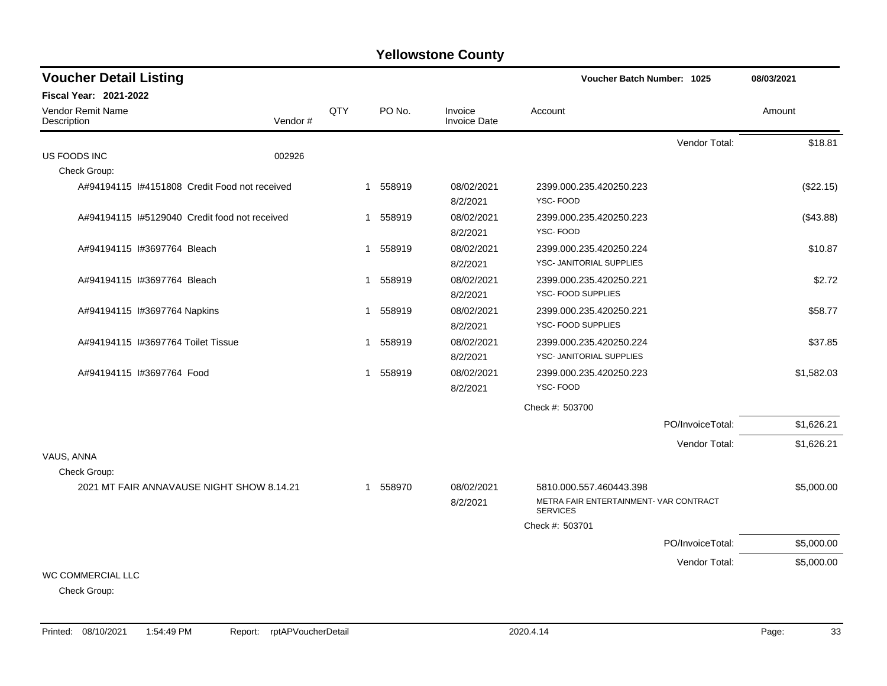| <b>Voucher Detail Listing</b>                 | <b>Voucher Batch Number: 1025</b> | 08/03/2021  |          |                                |                                                           |                  |            |
|-----------------------------------------------|-----------------------------------|-------------|----------|--------------------------------|-----------------------------------------------------------|------------------|------------|
| Fiscal Year: 2021-2022                        |                                   |             |          |                                |                                                           |                  |            |
| Vendor Remit Name<br>Description              | Vendor#                           | QTY         | PO No.   | Invoice<br><b>Invoice Date</b> | Account                                                   |                  | Amount     |
|                                               |                                   |             |          |                                |                                                           | Vendor Total:    | \$18.81    |
| US FOODS INC                                  | 002926                            |             |          |                                |                                                           |                  |            |
| Check Group:                                  |                                   |             |          |                                |                                                           |                  |            |
| A#94194115 I#4151808 Credit Food not received |                                   |             | 1 558919 | 08/02/2021                     | 2399.000.235.420250.223                                   |                  | (\$22.15)  |
|                                               |                                   |             |          | 8/2/2021                       | YSC-FOOD                                                  |                  |            |
| A#94194115 I#5129040 Credit food not received |                                   |             | 1 558919 | 08/02/2021                     | 2399.000.235.420250.223                                   |                  | (\$43.88)  |
|                                               |                                   |             |          | 8/2/2021                       | YSC-FOOD                                                  |                  |            |
| A#94194115 #3697764 Bleach                    |                                   |             | 1 558919 | 08/02/2021                     | 2399.000.235.420250.224                                   |                  | \$10.87    |
|                                               |                                   |             |          | 8/2/2021                       | YSC- JANITORIAL SUPPLIES                                  |                  |            |
| A#94194115 #3697764 Bleach                    |                                   |             | 1 558919 | 08/02/2021                     | 2399.000.235.420250.221                                   |                  | \$2.72     |
|                                               |                                   |             |          | 8/2/2021                       | YSC- FOOD SUPPLIES                                        |                  |            |
| A#94194115 I#3697764 Napkins                  |                                   |             | 1 558919 | 08/02/2021                     | 2399.000.235.420250.221                                   |                  | \$58.77    |
|                                               |                                   |             |          | 8/2/2021                       | YSC- FOOD SUPPLIES                                        |                  |            |
| A#94194115 1#3697764 Toilet Tissue            |                                   |             | 1 558919 | 08/02/2021                     | 2399.000.235.420250.224                                   |                  | \$37.85    |
|                                               |                                   |             |          | 8/2/2021                       | YSC- JANITORIAL SUPPLIES                                  |                  |            |
| A#94194115 I#3697764 Food                     |                                   | $\mathbf 1$ | 558919   | 08/02/2021                     | 2399.000.235.420250.223                                   |                  | \$1,582.03 |
|                                               |                                   |             |          | 8/2/2021                       | YSC-FOOD                                                  |                  |            |
|                                               |                                   |             |          |                                | Check #: 503700                                           |                  |            |
|                                               |                                   |             |          |                                |                                                           | PO/InvoiceTotal: | \$1,626.21 |
|                                               |                                   |             |          |                                |                                                           | Vendor Total:    | \$1,626.21 |
| VAUS, ANNA                                    |                                   |             |          |                                |                                                           |                  |            |
| Check Group:                                  |                                   |             |          |                                |                                                           |                  |            |
| 2021 MT FAIR ANNAVAUSE NIGHT SHOW 8.14.21     |                                   |             | 1 558970 | 08/02/2021                     | 5810.000.557.460443.398                                   |                  | \$5,000.00 |
|                                               |                                   |             |          | 8/2/2021                       | METRA FAIR ENTERTAINMENT- VAR CONTRACT<br><b>SERVICES</b> |                  |            |
|                                               |                                   |             |          |                                | Check #: 503701                                           |                  |            |
|                                               |                                   |             |          |                                |                                                           | PO/InvoiceTotal: | \$5,000.00 |
|                                               |                                   |             |          |                                |                                                           | Vendor Total:    | \$5,000.00 |
| <b>WC COMMERCIAL LLC</b>                      |                                   |             |          |                                |                                                           |                  |            |
| Check Group:                                  |                                   |             |          |                                |                                                           |                  |            |

Printed: 08/10/2021 1:54:49 PM Report: rptAPVoucherDetail 2020.4.14 2020.4.14 2020.4.14 Page: 33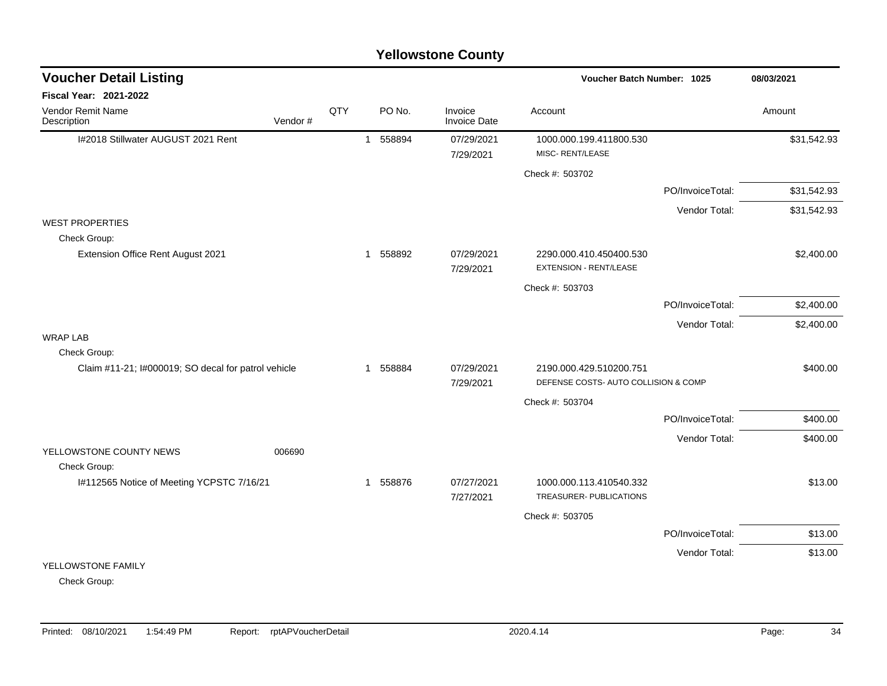#### I#2018 Stillwater AUGUST 2021 Rent 1 558894 07/29/2021 1000.000.199.411800.530 \$31,542.93 7/29/2021 MISC- RENT/LEASE Check #: 503702 PO/InvoiceTotal: \$31,542.93 Vendor Total: \$31,542.93 WEST PROPERTIES Check Group: Extension Office Rent August 2021 1 558892 1 558892 07/29/2021 2290.000.410.450400.530 \$2,400.00 7/29/2021 EXTENSION - RENT/LEASE Check #: 503703 PO/InvoiceTotal: \$2,400.00 Vendor Total: \$2,400.00 WRAP LAB Check Group: Claim #11-21; I#000019; SO decal for patrol vehicle 1 558884 07/29/2021 2190.000.429.510200.751 \$400.00 7/29/2021 DEFENSE COSTS- AUTO COLLISION & COMP Check #: 503704 PO/InvoiceTotal: \$400.00 Vendor Total: \$400.00 YELLOWSTONE COUNTY NEWS 006690 Check Group: I#112565 Notice of Meeting YCPSTC 7/16/21 1 558876 07/27/2021 1000.000.113.410540.332 \$13.00 7/27/2021 TREASURER- PUBLICATIONS Check #: 503705 PO/InvoiceTotal: \$13.00 Vendor Total: \$13.00 YELLOWSTONE FAMILY **Voucher Batch Number: Yellowstone County** Vendor Remit Name **Description Voucher Detail Listing Fiscal Year: 2021-2022 1025 08/03/2021** PO No. Invoice Account Amount Amount Amount Amount Vendor # **QTY** Invoice Date

Check Group: